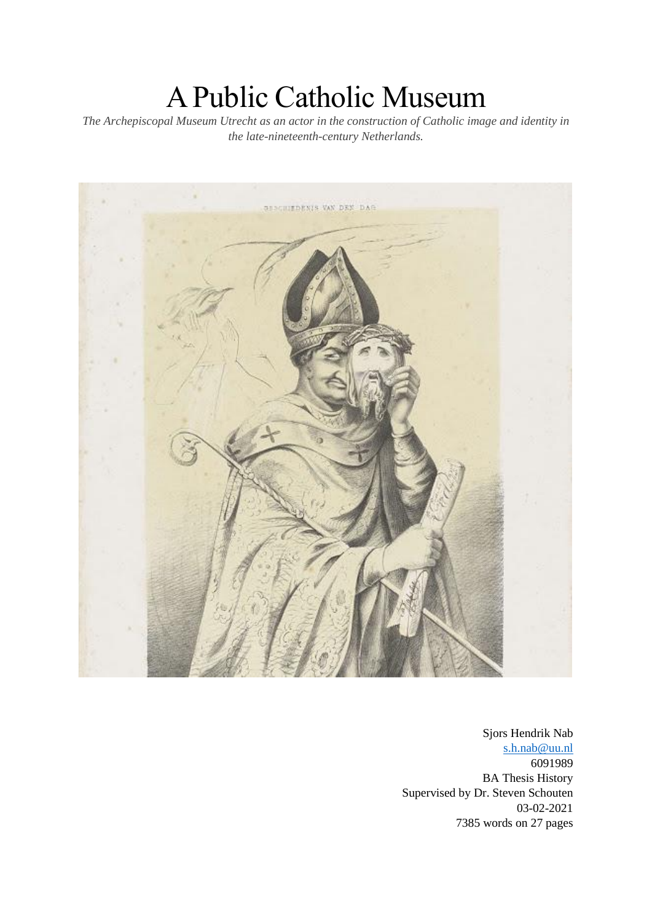# A Public Catholic Museum

*The Archepiscopal Museum Utrecht as an actor in the construction of Catholic image and identity in the late-nineteenth-century Netherlands.*



Sjors Hendrik Nab [s.h.nab@uu.nl](mailto:s.h.nab@uu.nl) 6091989 BA Thesis History Supervised by Dr. Steven Schouten 03-02-2021 7385 words on 27 pages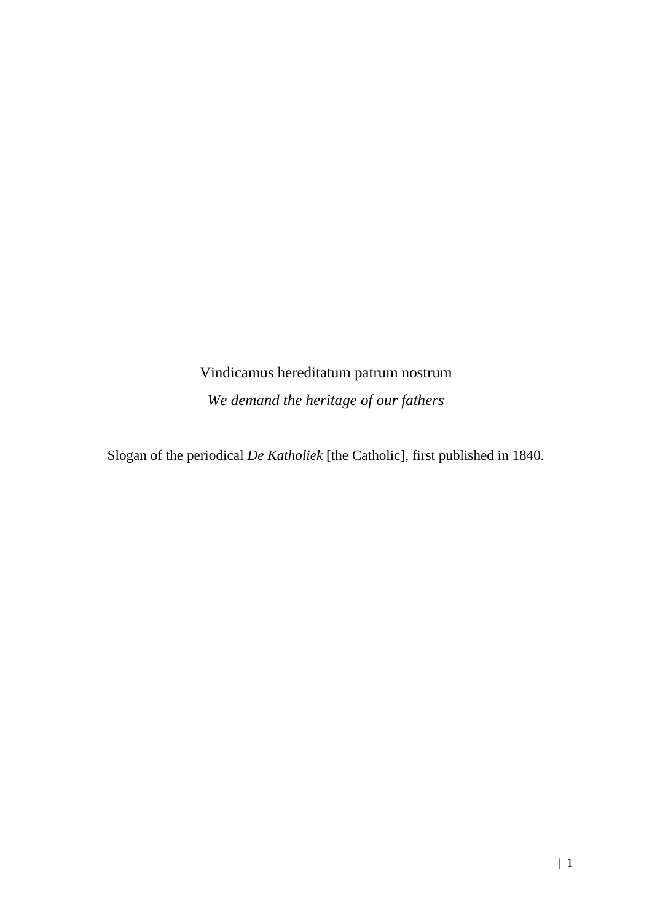Vindicamus hereditatum patrum nostrum *We demand the heritage of our fathers*

Slogan of the periodical *De Katholiek* [the Catholic], first published in 1840.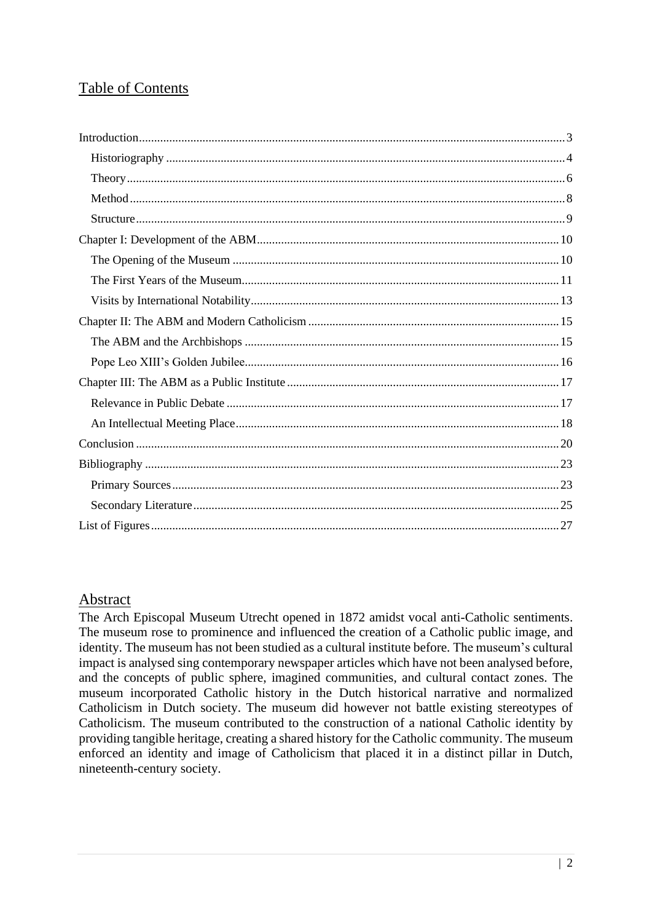# Table of Contents

## Abstract

The Arch Episcopal Museum Utrecht opened in 1872 amidst vocal anti-Catholic sentiments. The museum rose to prominence and influenced the creation of a Catholic public image, and identity. The museum has not been studied as a cultural institute before. The museum's cultural impact is analysed sing contemporary newspaper articles which have not been analysed before, and the concepts of public sphere, imagined communities, and cultural contact zones. The museum incorporated Catholic history in the Dutch historical narrative and normalized Catholicism in Dutch society. The museum did however not battle existing stereotypes of Catholicism. The museum contributed to the construction of a national Catholic identity by providing tangible heritage, creating a shared history for the Catholic community. The museum enforced an identity and image of Catholicism that placed it in a distinct pillar in Dutch, nineteenth-century society.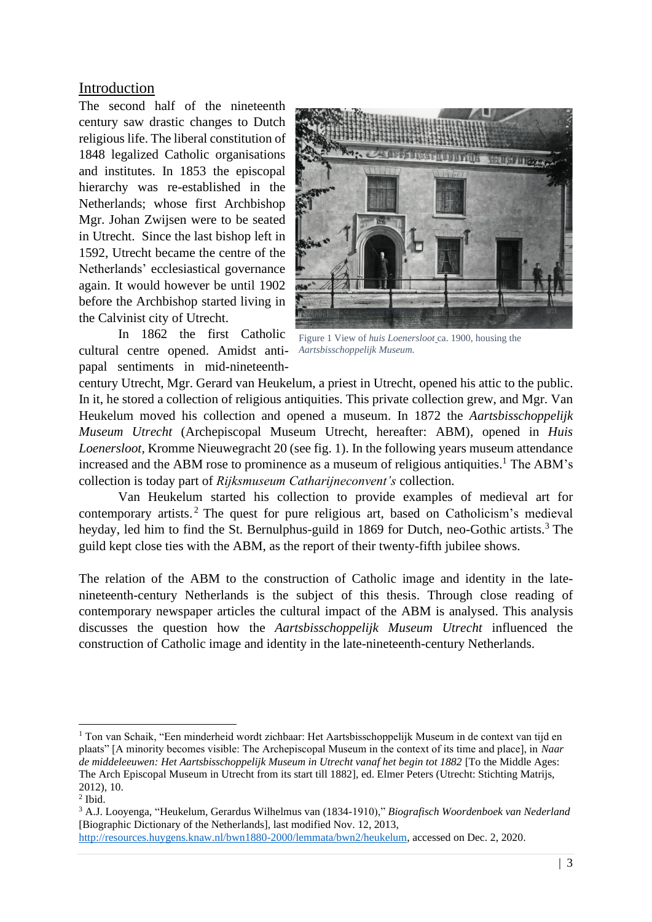## <span id="page-3-0"></span>Introduction

The second half of the nineteenth century saw drastic changes to Dutch religious life. The liberal constitution of 1848 legalized Catholic organisations and institutes. In 1853 the episcopal hierarchy was re-established in the Netherlands; whose first Archbishop Mgr. Johan Zwijsen were to be seated in Utrecht. Since the last bishop left in 1592, Utrecht became the centre of the Netherlands' ecclesiastical governance again. It would however be until 1902 before the Archbishop started living in the Calvinist city of Utrecht.

In 1862 the first Catholic cultural centre opened. Amidst antipapal sentiments in mid-nineteenth-



Figure 1 View of *huis Loenersloot* ca. 1900, housing the *Aartsbisschoppelijk Museum.*

century Utrecht, Mgr. Gerard van Heukelum, a priest in Utrecht, opened his attic to the public. In it, he stored a collection of religious antiquities. This private collection grew, and Mgr. Van Heukelum moved his collection and opened a museum. In 1872 the *Aartsbisschoppelijk Museum Utrecht* (Archepiscopal Museum Utrecht, hereafter: ABM), opened in *Huis Loenersloot,* Kromme Nieuwegracht 20 (see fig. 1). In the following years museum attendance increased and the ABM rose to prominence as a museum of religious antiquities. <sup>1</sup> The ABM's collection is today part of *Rijksmuseum Catharijneconvent's* collection.

Van Heukelum started his collection to provide examples of medieval art for contemporary artists. <sup>2</sup> The quest for pure religious art, based on Catholicism's medieval heyday, led him to find the St. Bernulphus-guild in 1869 for Dutch, neo-Gothic artists.<sup>3</sup> The guild kept close ties with the ABM, as the report of their twenty-fifth jubilee shows.

The relation of the ABM to the construction of Catholic image and identity in the latenineteenth-century Netherlands is the subject of this thesis. Through close reading of contemporary newspaper articles the cultural impact of the ABM is analysed. This analysis discusses the question how the *Aartsbisschoppelijk Museum Utrecht* influenced the construction of Catholic image and identity in the late-nineteenth-century Netherlands.

<sup>&</sup>lt;sup>1</sup> Ton van Schaik, "Een minderheid wordt zichbaar: Het Aartsbisschoppelijk Museum in de context van tijd en plaats" [A minority becomes visible: The Archepiscopal Museum in the context of its time and place], in *Naar de middeleeuwen: Het Aartsbisschoppelijk Museum in Utrecht vanaf het begin tot 1882* [To the Middle Ages: The Arch Episcopal Museum in Utrecht from its start till 1882], ed. Elmer Peters (Utrecht: Stichting Matrijs, 2012), 10.

<sup>2</sup> Ibid.

<sup>3</sup> A.J. Looyenga, "Heukelum, Gerardus Wilhelmus van (1834-1910)," *Biografisch Woordenboek van Nederland*  [Biographic Dictionary of the Netherlands], last modified Nov. 12, 2013,

[http://resources.huygens.knaw.nl/bwn1880-2000/lemmata/bwn2/heukelum,](http://resources.huygens.knaw.nl/bwn1880-2000/lemmata/bwn2/heukelum) accessed on Dec. 2, 2020.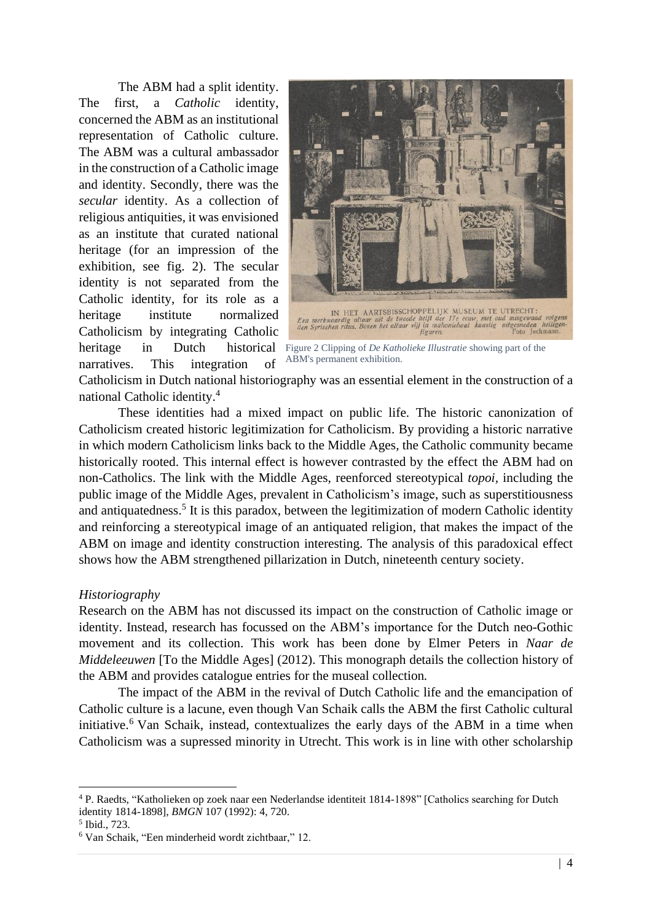The ABM had a split identity. The first, a *Catholic* identity, concerned the ABM as an institutional representation of Catholic culture. The ABM was a cultural ambassador in the construction of a Catholic image and identity. Secondly, there was the *secular* identity. As a collection of religious antiquities, it was envisioned as an institute that curated national heritage (for an impression of the exhibition, see fig. 2). The secular identity is not separated from the Catholic identity, for its role as a heritage institute normalized Catholicism by integrating Catholic narratives. This integration of



heritage in Dutch historical Figure 2 Clipping of *De Katholieke Illustratie* showing part of the ABM's permanent exhibition.

Catholicism in Dutch national historiography was an essential element in the construction of a national Catholic identity.<sup>4</sup>

These identities had a mixed impact on public life. The historic canonization of Catholicism created historic legitimization for Catholicism. By providing a historic narrative in which modern Catholicism links back to the Middle Ages, the Catholic community became historically rooted. This internal effect is however contrasted by the effect the ABM had on non-Catholics. The link with the Middle Ages, reenforced stereotypical *topoi,* including the public image of the Middle Ages, prevalent in Catholicism's image, such as superstitiousness and antiquatedness.<sup>5</sup> It is this paradox, between the legitimization of modern Catholic identity and reinforcing a stereotypical image of an antiquated religion, that makes the impact of the ABM on image and identity construction interesting. The analysis of this paradoxical effect shows how the ABM strengthened pillarization in Dutch, nineteenth century society.

#### <span id="page-4-0"></span>*Historiography*

Research on the ABM has not discussed its impact on the construction of Catholic image or identity. Instead, research has focussed on the ABM's importance for the Dutch neo-Gothic movement and its collection. This work has been done by Elmer Peters in *Naar de Middeleeuwen* [To the Middle Ages] (2012). This monograph details the collection history of the ABM and provides catalogue entries for the museal collection*.* 

The impact of the ABM in the revival of Dutch Catholic life and the emancipation of Catholic culture is a lacune, even though Van Schaik calls the ABM the first Catholic cultural initiative. <sup>6</sup> Van Schaik, instead, contextualizes the early days of the ABM in a time when Catholicism was a supressed minority in Utrecht. This work is in line with other scholarship

<sup>4</sup> P. Raedts, "Katholieken op zoek naar een Nederlandse identiteit 1814-1898" [Catholics searching for Dutch identity 1814-1898], *BMGN* 107 (1992): 4, 720.

<sup>5</sup> Ibid., 723.

<sup>6</sup> Van Schaik, "Een minderheid wordt zichtbaar," 12.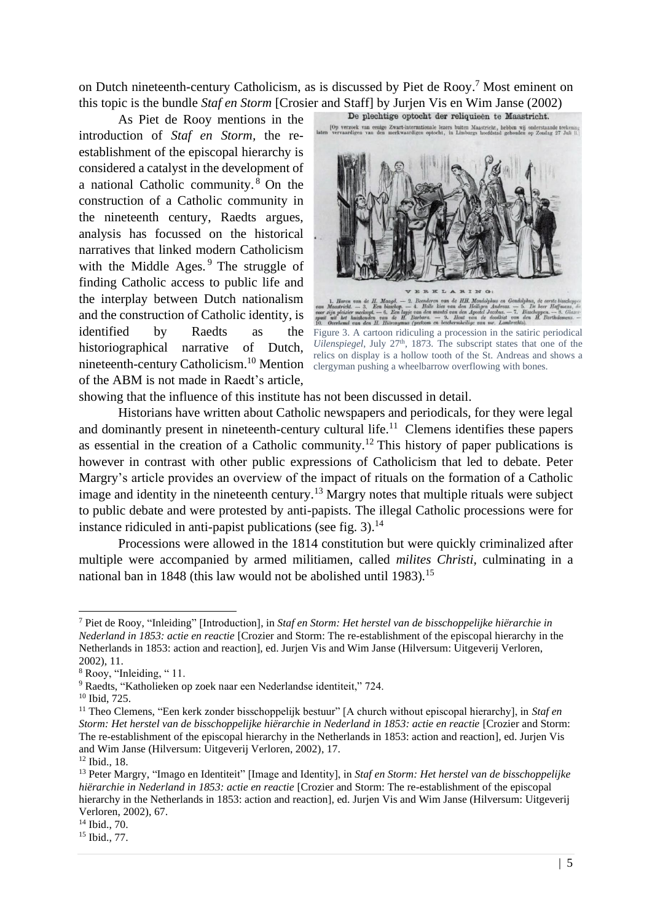on Dutch nineteenth-century Catholicism, as is discussed by Piet de Rooy. <sup>7</sup> Most eminent on this topic is the bundle *Staf en Storm* [Crosier and Staff] by Jurjen Vis en Wim Janse (2002)<br>As Pict de Poov montions in the **Deplechtige** optocht der reliquieen te Maastricht.

As Piet de Rooy mentions in the introduction of *Staf en Storm,* the reestablishment of the episcopal hierarchy is considered a catalyst in the development of a national Catholic community. <sup>8</sup> On the construction of a Catholic community in the nineteenth century, Raedts argues, analysis has focussed on the historical narratives that linked modern Catholicism with the Middle Ages. <sup>9</sup> The struggle of finding Catholic access to public life and the interplay between Dutch nationalism and the construction of Catholic identity, is identified by Raedts as the historiographical narrative of Dutch, nineteenth-century Catholicism.<sup>10</sup> Mention clergyman pushing a wheelbarrow overflowing with bones. of the ABM is not made in Raedt's article,



Figure 3. A cartoon ridiculing a procession in the satiric periodical Uilenspiegel, July 27<sup>th</sup>, 1873. The subscript states that one of the relics on display is a hollow tooth of the St. Andreas and shows a

showing that the influence of this institute has not been discussed in detail.

Historians have written about Catholic newspapers and periodicals, for they were legal and dominantly present in nineteenth-century cultural life.<sup>11</sup> Clemens identifies these papers as essential in the creation of a Catholic community.<sup>12</sup> This history of paper publications is however in contrast with other public expressions of Catholicism that led to debate. Peter Margry's article provides an overview of the impact of rituals on the formation of a Catholic image and identity in the nineteenth century.<sup>13</sup> Margry notes that multiple rituals were subject to public debate and were protested by anti-papists. The illegal Catholic processions were for instance ridiculed in anti-papist publications (see fig. 3).<sup>14</sup>

Processions were allowed in the 1814 constitution but were quickly criminalized after multiple were accompanied by armed militiamen, called *milites Christi,* culminating in a national ban in 1848 (this law would not be abolished until 1983)*.* 15

<sup>7</sup> Piet de Rooy, "Inleiding" [Introduction], in *Staf en Storm: Het herstel van de bisschoppelijke hiërarchie in Nederland in 1853: actie en reactie* [Crozier and Storm: The re-establishment of the episcopal hierarchy in the Netherlands in 1853: action and reaction], ed. Jurjen Vis and Wim Janse (Hilversum: Uitgeverij Verloren, 2002), 11.

<sup>8</sup> Rooy, "Inleiding, " 11.

<sup>9</sup> Raedts, "Katholieken op zoek naar een Nederlandse identiteit," 724.

<sup>10</sup> Ibid, 725.

<sup>11</sup> Theo Clemens, "Een kerk zonder bisschoppelijk bestuur" [A church without episcopal hierarchy], in *Staf en Storm: Het herstel van de bisschoppelijke hiërarchie in Nederland in 1853: actie en reactie* [Crozier and Storm: The re-establishment of the episcopal hierarchy in the Netherlands in 1853: action and reaction], ed. Jurjen Vis and Wim Janse (Hilversum: Uitgeverij Verloren, 2002), 17.

<sup>12</sup> Ibid., 18.

<sup>13</sup> Peter Margry, "Imago en Identiteit" [Image and Identity], in *Staf en Storm: Het herstel van de bisschoppelijke hiërarchie in Nederland in 1853: actie en reactie* [Crozier and Storm: The re-establishment of the episcopal hierarchy in the Netherlands in 1853: action and reaction], ed. Jurjen Vis and Wim Janse (Hilversum: Uitgeverij Verloren, 2002), 67.

<sup>14</sup> Ibid., 70.

<sup>15</sup> Ibid., 77.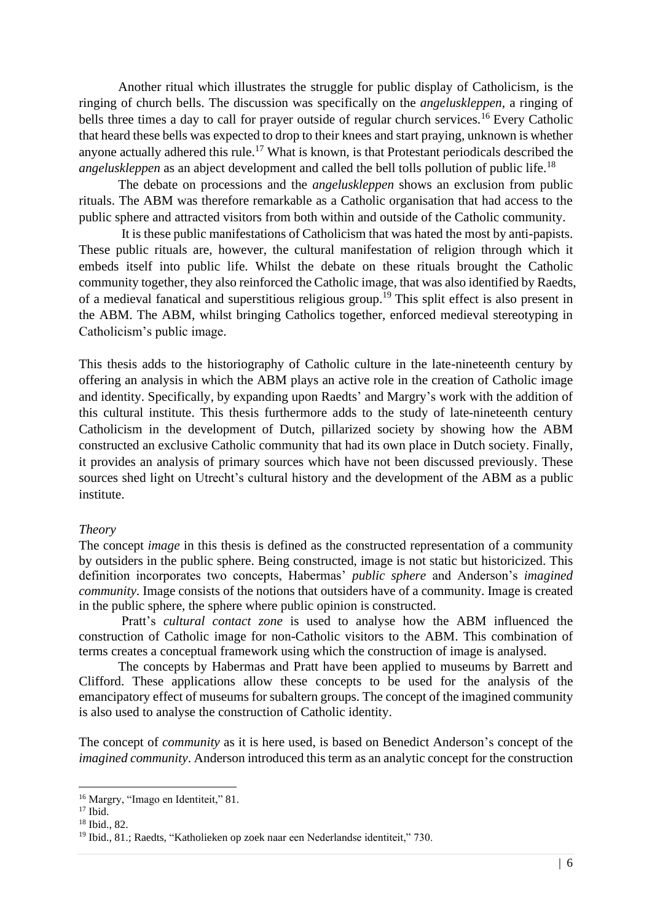Another ritual which illustrates the struggle for public display of Catholicism, is the ringing of church bells. The discussion was specifically on the *angeluskleppen*, a ringing of bells three times a day to call for prayer outside of regular church services.<sup>16</sup> Every Catholic that heard these bells was expected to drop to their knees and start praying, unknown is whether anyone actually adhered this rule.<sup>17</sup> What is known, is that Protestant periodicals described the *angeluskleppen* as an abject development and called the bell tolls pollution of public life. 18

The debate on processions and the *angeluskleppen* shows an exclusion from public rituals. The ABM was therefore remarkable as a Catholic organisation that had access to the public sphere and attracted visitors from both within and outside of the Catholic community.

It is these public manifestations of Catholicism that was hated the most by anti-papists. These public rituals are, however, the cultural manifestation of religion through which it embeds itself into public life. Whilst the debate on these rituals brought the Catholic community together, they also reinforced the Catholic image, that was also identified by Raedts, of a medieval fanatical and superstitious religious group.<sup>19</sup> This split effect is also present in the ABM. The ABM, whilst bringing Catholics together, enforced medieval stereotyping in Catholicism's public image.

This thesis adds to the historiography of Catholic culture in the late-nineteenth century by offering an analysis in which the ABM plays an active role in the creation of Catholic image and identity. Specifically, by expanding upon Raedts' and Margry's work with the addition of this cultural institute. This thesis furthermore adds to the study of late-nineteenth century Catholicism in the development of Dutch, pillarized society by showing how the ABM constructed an exclusive Catholic community that had its own place in Dutch society. Finally, it provides an analysis of primary sources which have not been discussed previously. These sources shed light on Utrecht's cultural history and the development of the ABM as a public institute.

#### <span id="page-6-0"></span>*Theory*

The concept *image* in this thesis is defined as the constructed representation of a community by outsiders in the public sphere. Being constructed, image is not static but historicized. This definition incorporates two concepts, Habermas' *public sphere* and Anderson's *imagined community*. Image consists of the notions that outsiders have of a community. Image is created in the public sphere, the sphere where public opinion is constructed.

Pratt's *cultural contact zone* is used to analyse how the ABM influenced the construction of Catholic image for non-Catholic visitors to the ABM. This combination of terms creates a conceptual framework using which the construction of image is analysed.

The concepts by Habermas and Pratt have been applied to museums by Barrett and Clifford. These applications allow these concepts to be used for the analysis of the emancipatory effect of museums for subaltern groups. The concept of the imagined community is also used to analyse the construction of Catholic identity.

The concept of *community* as it is here used, is based on Benedict Anderson's concept of the *imagined community*. Anderson introduced this term as an analytic concept for the construction

<sup>16</sup> Margry, "Imago en Identiteit," 81.

 $17$  Ibid.

 $18$  Ibid., 82.

<sup>19</sup> Ibid., 81.; Raedts, "Katholieken op zoek naar een Nederlandse identiteit," 730.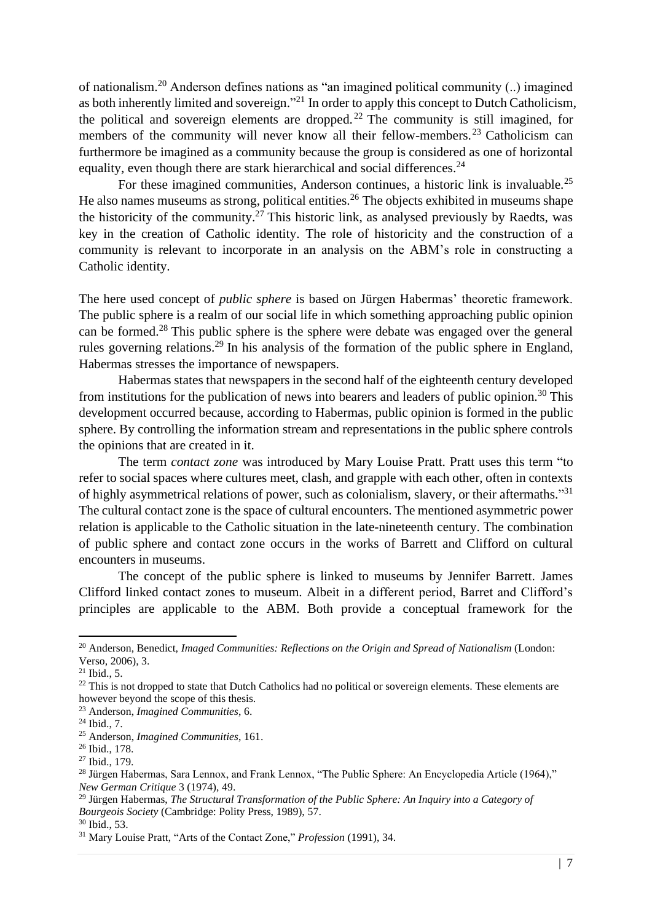of nationalism.<sup>20</sup> Anderson defines nations as "an imagined political community (..) imagined as both inherently limited and sovereign."<sup>21</sup> In order to apply this concept to Dutch Catholicism, the political and sovereign elements are dropped.<sup>22</sup> The community is still imagined, for members of the community will never know all their fellow-members.<sup>23</sup> Catholicism can furthermore be imagined as a community because the group is considered as one of horizontal equality, even though there are stark hierarchical and social differences.<sup>24</sup>

For these imagined communities, Anderson continues, a historic link is invaluable.<sup>25</sup> He also names museums as strong, political entities.<sup>26</sup> The objects exhibited in museums shape the historicity of the community.<sup>27</sup> This historic link, as analysed previously by Raedts, was key in the creation of Catholic identity. The role of historicity and the construction of a community is relevant to incorporate in an analysis on the ABM's role in constructing a Catholic identity.

The here used concept of *public sphere* is based on Jürgen Habermas' theoretic framework. The public sphere is a realm of our social life in which something approaching public opinion can be formed.<sup>28</sup> This public sphere is the sphere were debate was engaged over the general rules governing relations.<sup>29</sup> In his analysis of the formation of the public sphere in England, Habermas stresses the importance of newspapers.

Habermas states that newspapers in the second half of the eighteenth century developed from institutions for the publication of news into bearers and leaders of public opinion.<sup>30</sup> This development occurred because, according to Habermas, public opinion is formed in the public sphere. By controlling the information stream and representations in the public sphere controls the opinions that are created in it.

The term *contact zone* was introduced by Mary Louise Pratt. Pratt uses this term "to refer to social spaces where cultures meet, clash, and grapple with each other, often in contexts of highly asymmetrical relations of power, such as colonialism, slavery, or their aftermaths."<sup>31</sup> The cultural contact zone is the space of cultural encounters. The mentioned asymmetric power relation is applicable to the Catholic situation in the late-nineteenth century. The combination of public sphere and contact zone occurs in the works of Barrett and Clifford on cultural encounters in museums.

The concept of the public sphere is linked to museums by Jennifer Barrett. James Clifford linked contact zones to museum. Albeit in a different period, Barret and Clifford's principles are applicable to the ABM. Both provide a conceptual framework for the

<sup>20</sup> Anderson, Benedict, *Imaged Communities: Reflections on the Origin and Spread of Nationalism* (London: Verso, 2006), 3.

<sup>21</sup> Ibid., 5.

 $22$  This is not dropped to state that Dutch Catholics had no political or sovereign elements. These elements are however beyond the scope of this thesis.

<sup>23</sup> Anderson, *Imagined Communities*, 6.

<sup>24</sup> Ibid., 7.

<sup>25</sup> Anderson, *Imagined Communities*, 161.

<sup>26</sup> Ibid., 178.

<sup>27</sup> Ibid., 179.

<sup>&</sup>lt;sup>28</sup> Jürgen Habermas, Sara Lennox, and Frank Lennox, "The Public Sphere: An Encyclopedia Article (1964)," *New German Critique* 3 (1974), 49.

<sup>29</sup> Jürgen Habermas, *The Structural Transformation of the Public Sphere: An Inquiry into a Category of Bourgeois Society* (Cambridge: Polity Press, 1989), 57.

 $30$  Ibid., 53.

<sup>31</sup> Mary Louise Pratt, "Arts of the Contact Zone," *Profession* (1991), 34.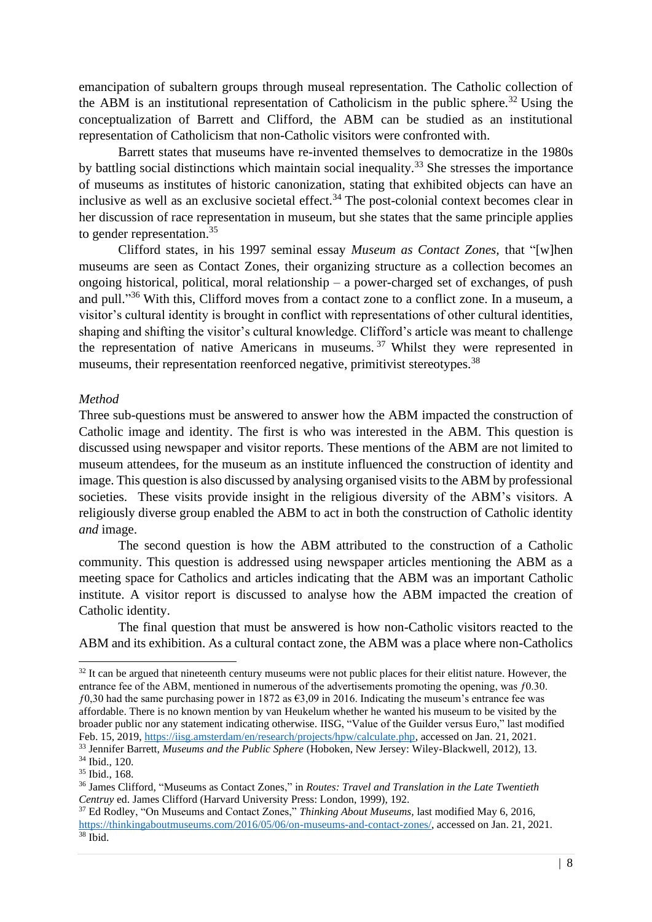emancipation of subaltern groups through museal representation. The Catholic collection of the ABM is an institutional representation of Catholicism in the public sphere.<sup>32</sup> Using the conceptualization of Barrett and Clifford, the ABM can be studied as an institutional representation of Catholicism that non-Catholic visitors were confronted with.

Barrett states that museums have re-invented themselves to democratize in the 1980s by battling social distinctions which maintain social inequality.<sup>33</sup> She stresses the importance of museums as institutes of historic canonization, stating that exhibited objects can have an inclusive as well as an exclusive societal effect.<sup>34</sup> The post-colonial context becomes clear in her discussion of race representation in museum, but she states that the same principle applies to gender representation.<sup>35</sup>

Clifford states, in his 1997 seminal essay *Museum as Contact Zones,* that "[w]hen museums are seen as Contact Zones, their organizing structure as a collection becomes an ongoing historical, political, moral relationship – a power-charged set of exchanges, of push and pull."<sup>36</sup> With this, Clifford moves from a contact zone to a conflict zone. In a museum, a visitor's cultural identity is brought in conflict with representations of other cultural identities, shaping and shifting the visitor's cultural knowledge. Clifford's article was meant to challenge the representation of native Americans in museums. <sup>37</sup> Whilst they were represented in museums, their representation reenforced negative, primitivist stereotypes.<sup>38</sup>

#### <span id="page-8-0"></span>*Method*

Three sub-questions must be answered to answer how the ABM impacted the construction of Catholic image and identity. The first is who was interested in the ABM. This question is discussed using newspaper and visitor reports. These mentions of the ABM are not limited to museum attendees, for the museum as an institute influenced the construction of identity and image. This question is also discussed by analysing organised visits to the ABM by professional societies. These visits provide insight in the religious diversity of the ABM's visitors. A religiously diverse group enabled the ABM to act in both the construction of Catholic identity *and* image.

The second question is how the ABM attributed to the construction of a Catholic community. This question is addressed using newspaper articles mentioning the ABM as a meeting space for Catholics and articles indicating that the ABM was an important Catholic institute. A visitor report is discussed to analyse how the ABM impacted the creation of Catholic identity.

The final question that must be answered is how non-Catholic visitors reacted to the ABM and its exhibition. As a cultural contact zone, the ABM was a place where non-Catholics

<sup>&</sup>lt;sup>32</sup> It can be argued that nineteenth century museums were not public places for their elitist nature. However, the entrance fee of the ABM, mentioned in numerous of the advertisements promoting the opening, was ƒ0.30.  $f(0,30)$  had the same purchasing power in 1872 as  $\epsilon(3,09)$  in 2016. Indicating the museum's entrance fee was affordable. There is no known mention by van Heukelum whether he wanted his museum to be visited by the broader public nor any statement indicating otherwise. IISG, "Value of the Guilder versus Euro," last modified Feb. 15, 2019, [https://iisg.amsterdam/en/research/projects/hpw/calculate.php,](https://iisg.amsterdam/en/research/projects/hpw/calculate.php) accessed on Jan. 21, 2021.

<sup>33</sup> Jennifer Barrett, *Museums and the Public Sphere* (Hoboken, New Jersey: Wiley-Blackwell, 2012), 13.

<sup>34</sup> Ibid., 120.

<sup>35</sup> Ibid., 168.

<sup>36</sup> James Clifford, "Museums as Contact Zones," in *Routes: Travel and Translation in the Late Twentieth Centruy* ed. James Clifford (Harvard University Press: London, 1999), 192.

<sup>37</sup> Ed Rodley, "On Museums and Contact Zones," *Thinking About Museums,* last modified May 6, 2016, [https://thinkingaboutmuseums.com/2016/05/06/on-museums-and-contact-zones/,](https://thinkingaboutmuseums.com/2016/05/06/on-museums-and-contact-zones/) accessed on Jan. 21, 2021.  $38$  Ibid.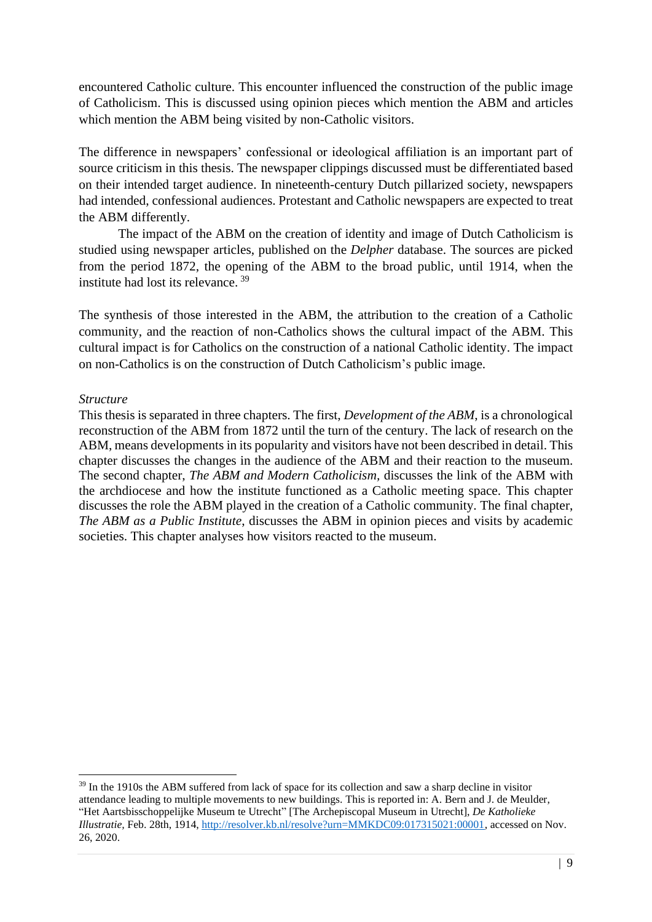encountered Catholic culture. This encounter influenced the construction of the public image of Catholicism. This is discussed using opinion pieces which mention the ABM and articles which mention the ABM being visited by non-Catholic visitors.

The difference in newspapers' confessional or ideological affiliation is an important part of source criticism in this thesis. The newspaper clippings discussed must be differentiated based on their intended target audience. In nineteenth-century Dutch pillarized society, newspapers had intended, confessional audiences. Protestant and Catholic newspapers are expected to treat the ABM differently.

The impact of the ABM on the creation of identity and image of Dutch Catholicism is studied using newspaper articles, published on the *Delpher* database. The sources are picked from the period 1872, the opening of the ABM to the broad public, until 1914, when the institute had lost its relevance. <sup>39</sup>

The synthesis of those interested in the ABM, the attribution to the creation of a Catholic community, and the reaction of non-Catholics shows the cultural impact of the ABM. This cultural impact is for Catholics on the construction of a national Catholic identity. The impact on non-Catholics is on the construction of Dutch Catholicism's public image.

### <span id="page-9-0"></span>*Structure*

This thesis is separated in three chapters. The first, *Development of the ABM*, is a chronological reconstruction of the ABM from 1872 until the turn of the century. The lack of research on the ABM, means developments in its popularity and visitors have not been described in detail. This chapter discusses the changes in the audience of the ABM and their reaction to the museum. The second chapter, *The ABM and Modern Catholicism,* discusses the link of the ABM with the archdiocese and how the institute functioned as a Catholic meeting space. This chapter discusses the role the ABM played in the creation of a Catholic community. The final chapter, *The ABM as a Public Institute*, discusses the ABM in opinion pieces and visits by academic societies. This chapter analyses how visitors reacted to the museum.

<sup>&</sup>lt;sup>39</sup> In the 1910s the ABM suffered from lack of space for its collection and saw a sharp decline in visitor attendance leading to multiple movements to new buildings. This is reported in: A. Bern and J. de Meulder, "Het Aartsbisschoppelijke Museum te Utrecht" [The Archepiscopal Museum in Utrecht], *De Katholieke Illustratie,* Feb. 28th, 1914, [http://resolver.kb.nl/resolve?urn=MMKDC09:017315021:00001,](http://resolver.kb.nl/resolve?urn=MMKDC09:017315021:00001) accessed on Nov. 26, 2020.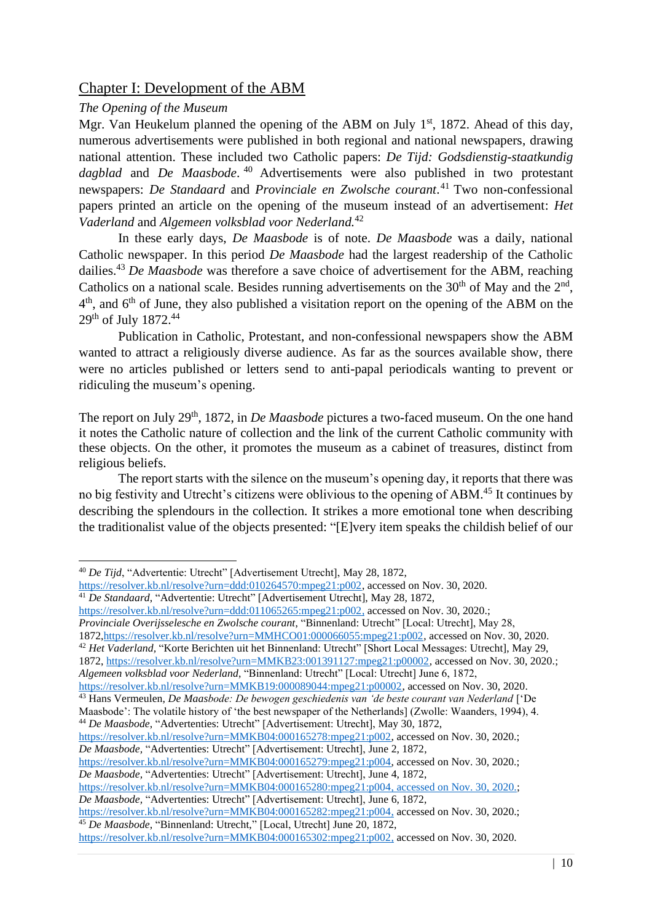# <span id="page-10-0"></span>Chapter I: Development of the ABM

## <span id="page-10-1"></span>*The Opening of the Museum*

Mgr. Van Heukelum planned the opening of the ABM on July  $1<sup>st</sup>$ , 1872. Ahead of this day, numerous advertisements were published in both regional and national newspapers, drawing national attention. These included two Catholic papers: *De Tijd: Godsdienstig-staatkundig dagblad* and *De Maasbode*. <sup>40</sup> Advertisements were also published in two protestant newspapers: *De Standaard* and *Provinciale en Zwolsche courant*. <sup>41</sup> Two non-confessional papers printed an article on the opening of the museum instead of an advertisement: *Het Vaderland* and *Algemeen volksblad voor Nederland.*<sup>42</sup>

In these early days, *De Maasbode* is of note. *De Maasbode* was a daily, national Catholic newspaper. In this period *De Maasbode* had the largest readership of the Catholic dailies.<sup>43</sup> *De Maasbode* was therefore a save choice of advertisement for the ABM, reaching Catholics on a national scale. Besides running advertisements on the  $30<sup>th</sup>$  of May and the  $2<sup>nd</sup>$ ,  $4<sup>th</sup>$ , and  $6<sup>th</sup>$  of June, they also published a visitation report on the opening of the ABM on the 29<sup>th</sup> of July 1872.<sup>44</sup>

Publication in Catholic, Protestant, and non-confessional newspapers show the ABM wanted to attract a religiously diverse audience. As far as the sources available show, there were no articles published or letters send to anti-papal periodicals wanting to prevent or ridiculing the museum's opening.

The report on July 29<sup>th</sup>, 1872, in *De Maasbode* pictures a two-faced museum. On the one hand it notes the Catholic nature of collection and the link of the current Catholic community with these objects. On the other, it promotes the museum as a cabinet of treasures, distinct from religious beliefs.

The report starts with the silence on the museum's opening day, it reports that there was no big festivity and Utrecht's citizens were oblivious to the opening of ABM. <sup>45</sup> It continues by describing the splendours in the collection. It strikes a more emotional tone when describing the traditionalist value of the objects presented: "[E]very item speaks the childish belief of our

<sup>42</sup> *Het Vaderland,* "Korte Berichten uit het Binnenland: Utrecht" [Short Local Messages: Utrecht], May 29,

1872, [https://resolver.kb.nl/resolve?urn=MMKB23:001391127:mpeg21:p00002,](https://resolver.kb.nl/resolve?urn=MMKB23:001391127:mpeg21:p00002) accessed on Nov. 30, 2020.; *Algemeen volksblad voor Nederland*, "Binnenland: Utrecht" [Local: Utrecht] June 6, 1872,

[https://resolver.kb.nl/resolve?urn=MMKB04:000165279:mpeg21:p004,](https://resolver.kb.nl/resolve?urn=MMKB04:000165279:mpeg21:p004) accessed on Nov. 30, 2020.; *De Maasbode,* "Advertenties: Utrecht" [Advertisement: Utrecht], June 4, 1872,

[https://resolver.kb.nl/resolve?urn=MMKB04:000165280:mpeg21:p004,](https://resolver.kb.nl/resolve?urn=MMKB04:000165280:mpeg21:p004) accessed on Nov. 30, 2020.; *De Maasbode,* "Advertenties: Utrecht" [Advertisement: Utrecht], June 6, 1872,

[https://resolver.kb.nl/resolve?urn=MMKB04:000165282:mpeg21:p004,](https://resolver.kb.nl/resolve?urn=MMKB04:000165282:mpeg21:p004) accessed on Nov. 30, 2020.;

<sup>45</sup> *De Maasbode*, "Binnenland: Utrecht," [Local, Utrecht] June 20, 1872, [https://resolver.kb.nl/resolve?urn=MMKB04:000165302:mpeg21:p002,](https://resolver.kb.nl/resolve?urn=MMKB04:000165302:mpeg21:p002) accessed on Nov. 30, 2020.

<sup>40</sup> *De Tijd*, "Advertentie: Utrecht" [Advertisement Utrecht], May 28, 1872,

[https://resolver.kb.nl/resolve?urn=ddd:010264570:mpeg21:p002,](https://resolver.kb.nl/resolve?urn=ddd:010264570:mpeg21:p002) accessed on Nov. 30, 2020. <sup>41</sup> *De Standaard*, "Advertentie: Utrecht" [Advertisement Utrecht], May 28, 1872,

[https://resolver.kb.nl/resolve?urn=ddd:011065265:mpeg21:p002,](https://resolver.kb.nl/resolve?urn=ddd:011065265:mpeg21:p002) accessed on Nov. 30, 2020.;

*Provinciale Overijsselesche en Zwolsche courant*, "Binnenland: Utrecht" [Local: Utrecht], May 28,

<sup>187</sup>[2,https://resolver.kb.nl/resolve?urn=MMHCO01:000066055:mpeg21:p002,](https://resolver.kb.nl/resolve?urn=MMHCO01:000066055:mpeg21:p002) accessed on Nov. 30, 2020.

[https://resolver.kb.nl/resolve?urn=MMKB19:000089044:mpeg21:p00002,](https://resolver.kb.nl/resolve?urn=MMKB19:000089044:mpeg21:p00002) accessed on Nov. 30, 2020.

<sup>43</sup> Hans Vermeulen, *De Maasbode: De bewogen geschiedenis van 'de beste courant van Nederland* ['De Maasbode': The volatile history of 'the best newspaper of the Netherlands] (Zwolle: Waanders, 1994), 4.

<sup>44</sup> *De Maasbode*, "Advertenties: Utrecht" [Advertisement: Utrecht], May 30, 1872,

[https://resolver.kb.nl/resolve?urn=MMKB04:000165278:mpeg21:p002,](https://resolver.kb.nl/resolve?urn=MMKB04:000165278:mpeg21:p002) accessed on Nov. 30, 2020.; *De Maasbode,* "Advertenties: Utrecht" [Advertisement: Utrecht], June 2, 1872,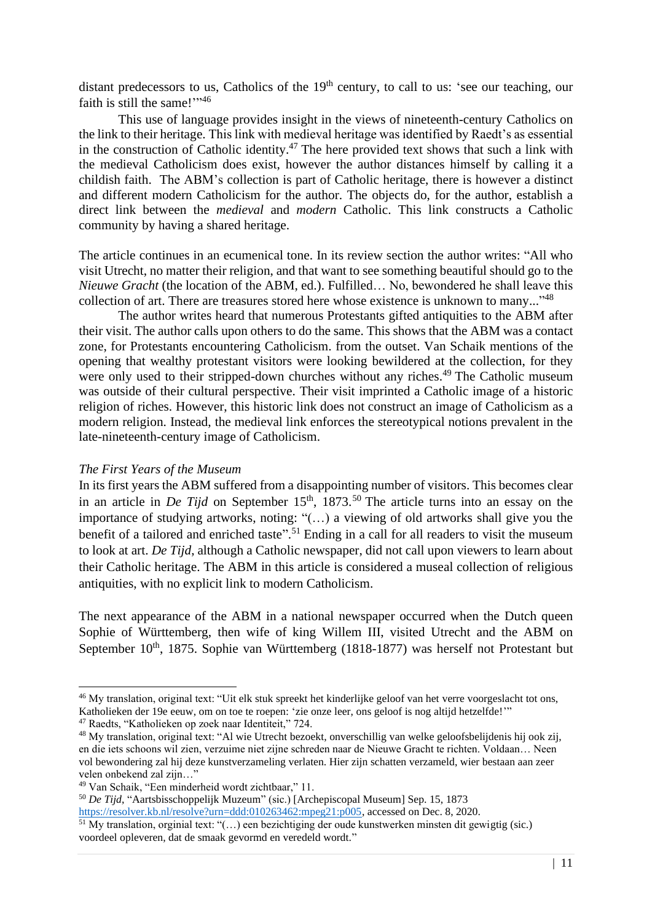distant predecessors to us, Catholics of the 19<sup>th</sup> century, to call to us: 'see our teaching, our faith is still the same!"<sup>46</sup>

This use of language provides insight in the views of nineteenth-century Catholics on the link to their heritage. This link with medieval heritage was identified by Raedt's as essential in the construction of Catholic identity.<sup>47</sup> The here provided text shows that such a link with the medieval Catholicism does exist, however the author distances himself by calling it a childish faith. The ABM's collection is part of Catholic heritage, there is however a distinct and different modern Catholicism for the author. The objects do, for the author, establish a direct link between the *medieval* and *modern* Catholic. This link constructs a Catholic community by having a shared heritage.

The article continues in an ecumenical tone. In its review section the author writes: "All who visit Utrecht, no matter their religion, and that want to see something beautiful should go to the *Nieuwe Gracht* (the location of the ABM, ed.). Fulfilled… No, bewondered he shall leave this collection of art. There are treasures stored here whose existence is unknown to many..."<sup>48</sup>

The author writes heard that numerous Protestants gifted antiquities to the ABM after their visit. The author calls upon others to do the same. This shows that the ABM was a contact zone, for Protestants encountering Catholicism. from the outset. Van Schaik mentions of the opening that wealthy protestant visitors were looking bewildered at the collection, for they were only used to their stripped-down churches without any riches.<sup>49</sup> The Catholic museum was outside of their cultural perspective. Their visit imprinted a Catholic image of a historic religion of riches. However, this historic link does not construct an image of Catholicism as a modern religion. Instead, the medieval link enforces the stereotypical notions prevalent in the late-nineteenth-century image of Catholicism.

#### <span id="page-11-0"></span>*The First Years of the Museum*

In its first years the ABM suffered from a disappointing number of visitors. This becomes clear in an article in *De Tijd* on September  $15<sup>th</sup>$ ,  $1873<sup>50</sup>$  The article turns into an essay on the importance of studying artworks, noting: "(…) a viewing of old artworks shall give you the benefit of a tailored and enriched taste".<sup>51</sup> Ending in a call for all readers to visit the museum to look at art. *De Tijd*, although a Catholic newspaper, did not call upon viewers to learn about their Catholic heritage. The ABM in this article is considered a museal collection of religious antiquities, with no explicit link to modern Catholicism.

The next appearance of the ABM in a national newspaper occurred when the Dutch queen Sophie of Württemberg, then wife of king Willem III, visited Utrecht and the ABM on September 10<sup>th</sup>, 1875. Sophie van Württemberg (1818-1877) was herself not Protestant but

<sup>46</sup> My translation, original text: "Uit elk stuk spreekt het kinderlijke geloof van het verre voorgeslacht tot ons, Katholieken der 19e eeuw, om on toe te roepen: 'zie onze leer, ons geloof is nog altijd hetzelfde!'"

<sup>47</sup> Raedts, "Katholieken op zoek naar Identiteit," 724.

<sup>48</sup> My translation, original text: "Al wie Utrecht bezoekt, onverschillig van welke geloofsbelijdenis hij ook zij, en die iets schoons wil zien, verzuime niet zijne schreden naar de Nieuwe Gracht te richten. Voldaan… Neen vol bewondering zal hij deze kunstverzameling verlaten. Hier zijn schatten verzameld, wier bestaan aan zeer velen onbekend zal zijn…"

<sup>49</sup> Van Schaik, "Een minderheid wordt zichtbaar," 11.

<sup>50</sup> *De Tijd*, "Aartsbisschoppelijk Muzeum" (sic.) [Archepiscopal Museum] Sep. 15, 1873 [https://resolver.kb.nl/resolve?urn=ddd:010263462:mpeg21:p005,](https://resolver.kb.nl/resolve?urn=ddd:010263462:mpeg21:p005) accessed on Dec. 8, 2020.

 $\frac{51}{10}$  My translation, orginial text: "(...) een bezichtiging der oude kunstwerken minsten dit gewigtig (sic.) voordeel opleveren, dat de smaak gevormd en veredeld wordt."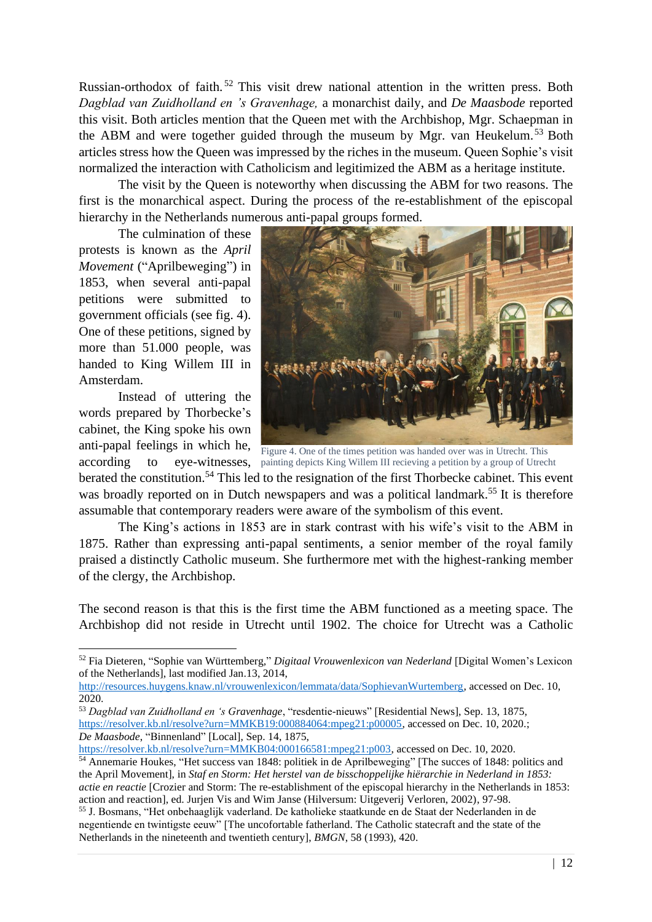Russian-orthodox of faith. <sup>52</sup> This visit drew national attention in the written press. Both *Dagblad van Zuidholland en 's Gravenhage,* a monarchist daily, and *De Maasbode* reported this visit. Both articles mention that the Queen met with the Archbishop, Mgr. Schaepman in the ABM and were together guided through the museum by Mgr. van Heukelum.<sup>53</sup> Both articles stress how the Queen was impressed by the riches in the museum. Queen Sophie's visit normalized the interaction with Catholicism and legitimized the ABM as a heritage institute.

The visit by the Queen is noteworthy when discussing the ABM for two reasons. The first is the monarchical aspect. During the process of the re-establishment of the episcopal hierarchy in the Netherlands numerous anti-papal groups formed.

The culmination of these protests is known as the *April Movement* ("Aprilbeweging") in 1853, when several anti-papal petitions were submitted to government officials (see fig. 4). One of these petitions, signed by more than 51.000 people, was handed to King Willem III in Amsterdam.

Instead of uttering the words prepared by Thorbecke's cabinet, the King spoke his own anti-papal feelings in which he,



according to eye-witnesses, painting depicts King Willem III recieving a petition by a group of Utrecht Figure 4. One of the times petition was handed over was in Utrecht. This

berated the constitution.<sup>54</sup> This led to the resignation of the first Thorbecke cabinet. This event was broadly reported on in Dutch newspapers and was a political landmark.<sup>55</sup> It is therefore assumable that contemporary readers were aware of the symbolism of this event.

The King's actions in 1853 are in stark contrast with his wife's visit to the ABM in 1875. Rather than expressing anti-papal sentiments, a senior member of the royal family praised a distinctly Catholic museum. She furthermore met with the highest-ranking member of the clergy, the Archbishop.

The second reason is that this is the first time the ABM functioned as a meeting space. The Archbishop did not reside in Utrecht until 1902. The choice for Utrecht was a Catholic

<sup>52</sup> Fia Dieteren, "Sophie van Württemberg*,*" *Digitaal Vrouwenlexicon van Nederland* [Digital Women's Lexicon of the Netherlands], last modified Jan.13, 2014,

[http://resources.huygens.knaw.nl/vrouwenlexicon/lemmata/data/SophievanWurtemberg,](http://resources.huygens.knaw.nl/vrouwenlexicon/lemmata/data/SophievanWurtemberg) accessed on Dec. 10, 2020.

<sup>53</sup> *Dagblad van Zuidholland en 's Gravenhage*, "resdentie-nieuws" [Residential News], Sep. 13, 1875, [https://resolver.kb.nl/resolve?urn=MMKB19:000884064:mpeg21:p00005,](https://resolver.kb.nl/resolve?urn=MMKB19:000884064:mpeg21:p00005) accessed on Dec. 10, 2020.; *De Maasbode*, "Binnenland" [Local], Sep. 14, 1875,

[https://resolver.kb.nl/resolve?urn=MMKB04:000166581:mpeg21:p003,](https://resolver.kb.nl/resolve?urn=MMKB04:000166581:mpeg21:p003) accessed on Dec. 10, 2020. <sup>54</sup> Annemarie Houkes, "Het success van 1848: politiek in de Aprilbeweging" [The succes of 1848: politics and the April Movement], in *Staf en Storm: Het herstel van de bisschoppelijke hiërarchie in Nederland in 1853: actie en reactie* [Crozier and Storm: The re-establishment of the episcopal hierarchy in the Netherlands in 1853: action and reaction], ed. Jurjen Vis and Wim Janse (Hilversum: Uitgeverij Verloren, 2002), 97-98.

<sup>55</sup> J. Bosmans, "Het onbehaaglijk vaderland. De katholieke staatkunde en de Staat der Nederlanden in de negentiende en twintigste eeuw" [The uncofortable fatherland. The Catholic statecraft and the state of the Netherlands in the nineteenth and twentieth century], *BMGN*, 58 (1993), 420.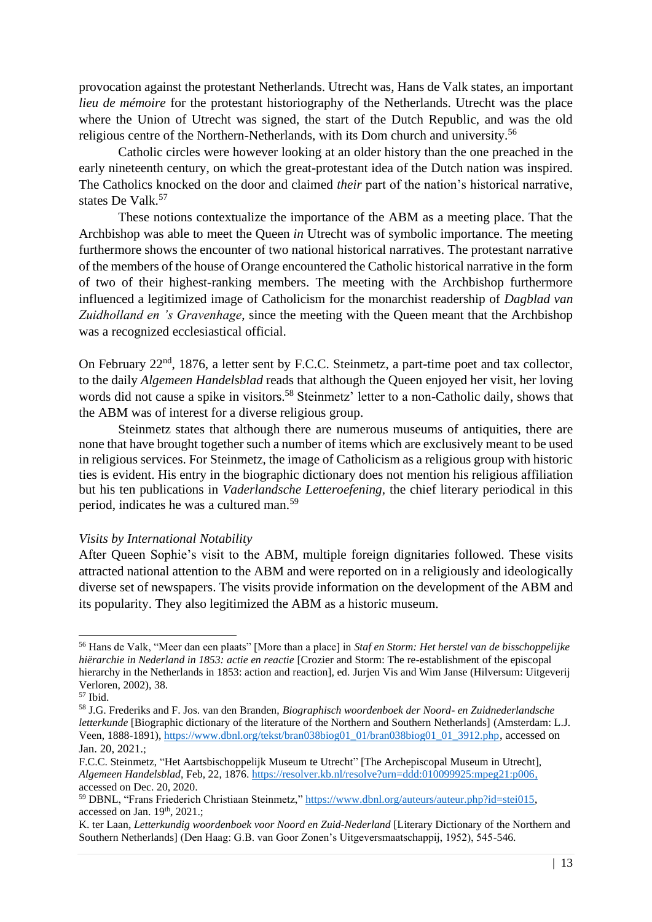provocation against the protestant Netherlands. Utrecht was, Hans de Valk states, an important *lieu de mémoire* for the protestant historiography of the Netherlands. Utrecht was the place where the Union of Utrecht was signed, the start of the Dutch Republic, and was the old religious centre of the Northern-Netherlands, with its Dom church and university.<sup>56</sup>

Catholic circles were however looking at an older history than the one preached in the early nineteenth century, on which the great-protestant idea of the Dutch nation was inspired. The Catholics knocked on the door and claimed *their* part of the nation's historical narrative, states De Valk.<sup>57</sup>

These notions contextualize the importance of the ABM as a meeting place. That the Archbishop was able to meet the Queen *in* Utrecht was of symbolic importance. The meeting furthermore shows the encounter of two national historical narratives. The protestant narrative of the members of the house of Orange encountered the Catholic historical narrative in the form of two of their highest-ranking members. The meeting with the Archbishop furthermore influenced a legitimized image of Catholicism for the monarchist readership of *Dagblad van Zuidholland en 's Gravenhage*, since the meeting with the Queen meant that the Archbishop was a recognized ecclesiastical official.

On February 22<sup>nd</sup>, 1876, a letter sent by F.C.C. Steinmetz, a part-time poet and tax collector, to the daily *Algemeen Handelsblad* reads that although the Queen enjoyed her visit, her loving words did not cause a spike in visitors.<sup>58</sup> Steinmetz' letter to a non-Catholic daily, shows that the ABM was of interest for a diverse religious group.

Steinmetz states that although there are numerous museums of antiquities, there are none that have brought together such a number of items which are exclusively meant to be used in religious services. For Steinmetz, the image of Catholicism as a religious group with historic ties is evident. His entry in the biographic dictionary does not mention his religious affiliation but his ten publications in *Vaderlandsche Letteroefening,* the chief literary periodical in this period, indicates he was a cultured man.<sup>59</sup>

#### <span id="page-13-0"></span>*Visits by International Notability*

After Queen Sophie's visit to the ABM, multiple foreign dignitaries followed. These visits attracted national attention to the ABM and were reported on in a religiously and ideologically diverse set of newspapers. The visits provide information on the development of the ABM and its popularity. They also legitimized the ABM as a historic museum.

<sup>56</sup> Hans de Valk, "Meer dan een plaats" [More than a place] in *Staf en Storm: Het herstel van de bisschoppelijke hiërarchie in Nederland in 1853: actie en reactie* [Crozier and Storm: The re-establishment of the episcopal hierarchy in the Netherlands in 1853: action and reaction], ed. Jurjen Vis and Wim Janse (Hilversum: Uitgeverij Verloren, 2002), 38.

<sup>57</sup> Ibid.

<sup>58</sup> J.G. Frederiks and F. Jos. van den Branden, *Biographisch woordenboek der Noord- en Zuidnederlandsche letterkunde* [Biographic dictionary of the literature of the Northern and Southern Netherlands] (Amsterdam: L.J. Veen, 1888-1891), [https://www.dbnl.org/tekst/bran038biog01\\_01/bran038biog01\\_01\\_3912.php](https://www.dbnl.org/tekst/bran038biog01_01/bran038biog01_01_3912.php), accessed on Jan. 20, 2021.;

F.C.C. Steinmetz, "Het Aartsbischoppelijk Museum te Utrecht" [The Archepiscopal Museum in Utrecht], *Algemeen Handelsblad*, Feb, 22, 1876. [https://resolver.kb.nl/resolve?urn=ddd:010099925:mpeg21:p006,](https://resolver.kb.nl/resolve?urn=ddd:010099925:mpeg21:p006) accessed on Dec. 20, 2020.

<sup>59</sup> DBNL, "Frans Friederich Christiaan Steinmetz," [https://www.dbnl.org/auteurs/auteur.php?id=stei015,](https://www.dbnl.org/auteurs/auteur.php?id=stei015) accessed on Jan.  $19<sup>th</sup>$ ,  $2021$ .;

K. ter Laan, *Letterkundig woordenboek voor Noord en Zuid*-*Nederland* [Literary Dictionary of the Northern and Southern Netherlands] (Den Haag: G.B. van Goor Zonen's Uitgeversmaatschappij, 1952), 545-546.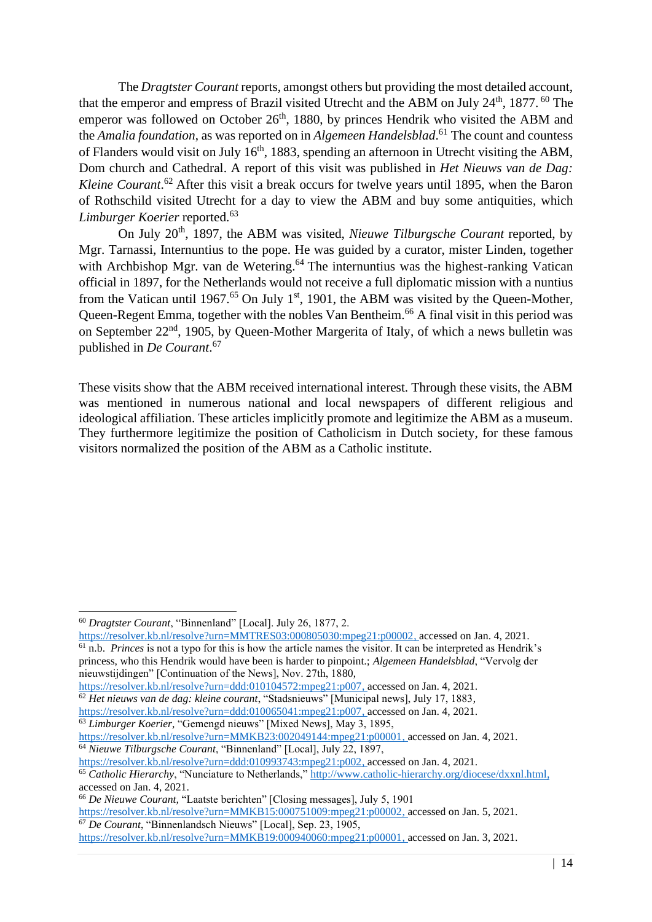The *Dragtster Courant* reports, amongst others but providing the most detailed account, that the emperor and empress of Brazil visited Utrecht and the ABM on July 24<sup>th</sup>, 1877.<sup>60</sup> The emperor was followed on October  $26<sup>th</sup>$ , 1880, by princes Hendrik who visited the ABM and the *Amalia foundation*, as was reported on in *Algemeen Handelsblad*. <sup>61</sup> The count and countess of Flanders would visit on July 16<sup>th</sup>, 1883, spending an afternoon in Utrecht visiting the ABM, Dom church and Cathedral. A report of this visit was published in *Het Nieuws van de Dag: Kleine Courant*. <sup>62</sup> After this visit a break occurs for twelve years until 1895, when the Baron of Rothschild visited Utrecht for a day to view the ABM and buy some antiquities, which *Limburger Koerier* reported. 63

On July 20<sup>th</sup>, 1897, the ABM was visited, *Nieuwe Tilburgsche Courant* reported, by Mgr. Tarnassi, Internuntius to the pope. He was guided by a curator, mister Linden, together with Archbishop Mgr. van de Wetering.<sup>64</sup> The internuntius was the highest-ranking Vatican official in 1897, for the Netherlands would not receive a full diplomatic mission with a nuntius from the Vatican until 1967.<sup>65</sup> On July 1<sup>st</sup>, 1901, the ABM was visited by the Queen-Mother, Queen-Regent Emma, together with the nobles Van Bentheim.<sup>66</sup> A final visit in this period was on September 22<sup>nd</sup>, 1905, by Queen-Mother Margerita of Italy, of which a news bulletin was published in *De Courant*. 67

These visits show that the ABM received international interest. Through these visits, the ABM was mentioned in numerous national and local newspapers of different religious and ideological affiliation. These articles implicitly promote and legitimize the ABM as a museum. They furthermore legitimize the position of Catholicism in Dutch society, for these famous visitors normalized the position of the ABM as a Catholic institute.

<sup>60</sup> *Dragtster Courant*, "Binnenland" [Local]. July 26, 1877, 2.

[https://resolver.kb.nl/resolve?urn=MMTRES03:000805030:mpeg21:p00002,](https://resolver.kb.nl/resolve?urn=MMTRES03:000805030:mpeg21:p00002) accessed on Jan. 4, 2021. <sup>61</sup> n.b. *Princes* is not a typo for this is how the article names the visitor. It can be interpreted as Hendrik's princess, who this Hendrik would have been is harder to pinpoint.; *Algemeen Handelsblad*, "Vervolg der nieuwstijdingen" [Continuation of the News], Nov. 27th, 1880,

[https://resolver.kb.nl/resolve?urn=ddd:010104572:mpeg21:p007,](https://resolver.kb.nl/resolve?urn=ddd:010104572:mpeg21:p007) accessed on Jan. 4, 2021.

<sup>62</sup> *Het nieuws van de dag: kleine courant*, "Stadsnieuws" [Municipal news], July 17, 1883, [https://resolver.kb.nl/resolve?urn=ddd:010065041:mpeg21:p007,](https://resolver.kb.nl/resolve?urn=ddd:010065041:mpeg21:p007) accessed on Jan. 4, 2021.

<sup>63</sup> *Limburger Koerier,* "Gemengd nieuws" [Mixed News], May 3, 1895,

[https://resolver.kb.nl/resolve?urn=MMKB23:002049144:mpeg21:p00001,](https://resolver.kb.nl/resolve?urn=MMKB23:002049144:mpeg21:p00001) accessed on Jan. 4, 2021. <sup>64</sup> *Nieuwe Tilburgsche Courant*, "Binnenland" [Local], July 22, 1897,

[https://resolver.kb.nl/resolve?urn=ddd:010993743:mpeg21:p002,](https://resolver.kb.nl/resolve?urn=ddd:010993743:mpeg21:p002) accessed on Jan. 4, 2021.

<sup>&</sup>lt;sup>65</sup> *Catholic Hierarchy*, "Nunciature to Netherlands," [http://www.catholic-hierarchy.org/diocese/dxxnl.html,](http://www.catholic-hierarchy.org/diocese/dxxnl.html) accessed on Jan. 4, 2021.

<sup>66</sup> *De Nieuwe Courant,* "Laatste berichten" [Closing messages], July 5, 1901

[https://resolver.kb.nl/resolve?urn=MMKB15:000751009:mpeg21:p00002,](https://resolver.kb.nl/resolve?urn=MMKB15:000751009:mpeg21:p00002) accessed on Jan. 5, 2021. <sup>67</sup> *De Courant*, "Binnenlandsch Nieuws" [Local], Sep. 23, 1905,

[https://resolver.kb.nl/resolve?urn=MMKB19:000940060:mpeg21:p00001,](https://resolver.kb.nl/resolve?urn=MMKB19:000940060:mpeg21:p00001) accessed on Jan. 3, 2021.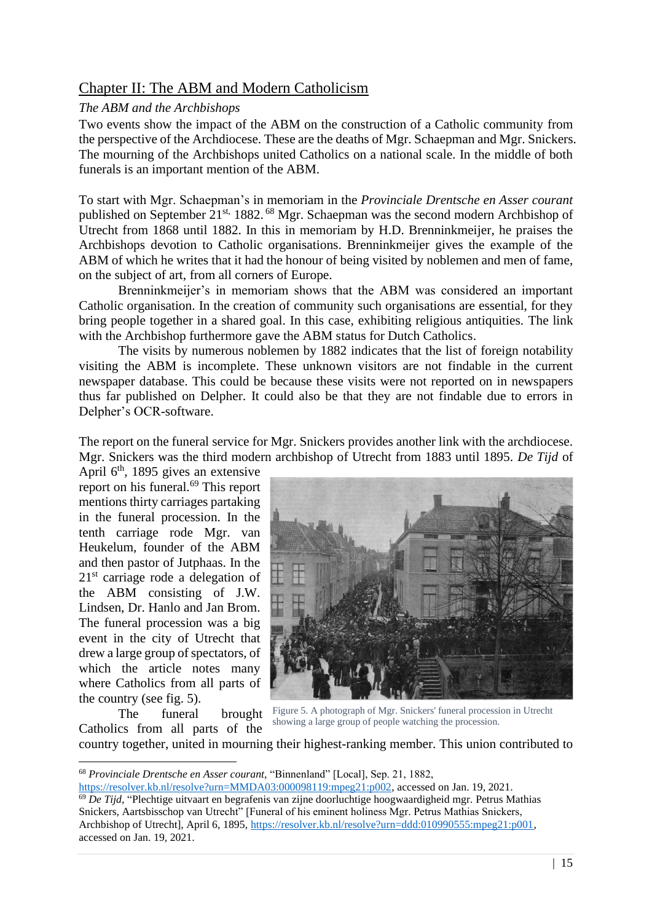# <span id="page-15-0"></span>Chapter II: The ABM and Modern Catholicism

## <span id="page-15-1"></span>*The ABM and the Archbishops*

Two events show the impact of the ABM on the construction of a Catholic community from the perspective of the Archdiocese. These are the deaths of Mgr. Schaepman and Mgr. Snickers. The mourning of the Archbishops united Catholics on a national scale. In the middle of both funerals is an important mention of the ABM.

To start with Mgr. Schaepman's in memoriam in the *Provinciale Drentsche en Asser courant* published on September 21st, 1882. <sup>68</sup> Mgr. Schaepman was the second modern Archbishop of Utrecht from 1868 until 1882. In this in memoriam by H.D. Brenninkmeijer, he praises the Archbishops devotion to Catholic organisations. Brenninkmeijer gives the example of the ABM of which he writes that it had the honour of being visited by noblemen and men of fame, on the subject of art, from all corners of Europe.

Brenninkmeijer's in memoriam shows that the ABM was considered an important Catholic organisation. In the creation of community such organisations are essential, for they bring people together in a shared goal. In this case, exhibiting religious antiquities. The link with the Archbishop furthermore gave the ABM status for Dutch Catholics.

The visits by numerous noblemen by 1882 indicates that the list of foreign notability visiting the ABM is incomplete. These unknown visitors are not findable in the current newspaper database. This could be because these visits were not reported on in newspapers thus far published on Delpher. It could also be that they are not findable due to errors in Delpher's OCR-software.

The report on the funeral service for Mgr. Snickers provides another link with the archdiocese. Mgr. Snickers was the third modern archbishop of Utrecht from 1883 until 1895. *De Tijd* of

April 6<sup>th</sup>, 1895 gives an extensive report on his funeral.<sup>69</sup> This report mentions thirty carriages partaking in the funeral procession. In the tenth carriage rode Mgr. van Heukelum, founder of the ABM and then pastor of Jutphaas. In the 21<sup>st</sup> carriage rode a delegation of the ABM consisting of J.W. Lindsen, Dr. Hanlo and Jan Brom. The funeral procession was a big event in the city of Utrecht that drew a large group of spectators, of which the article notes many where Catholics from all parts of the country (see fig. 5).

The funeral brought Catholics from all parts of the



Figure 5. A photograph of Mgr. Snickers' funeral procession in Utrecht showing a large group of people watching the procession.

country together, united in mourning their highest-ranking member. This union contributed to

<sup>68</sup> *Provinciale Drentsche en Asser courant,* "Binnenland" [Local], Sep. 21, 1882,

[https://resolver.kb.nl/resolve?urn=MMDA03:000098119:mpeg21:p002,](https://resolver.kb.nl/resolve?urn=MMDA03:000098119:mpeg21:p002) accessed on Jan. 19, 2021. <sup>69</sup> De Tijd. "Plechtige uitvaart en begrafenis van zijne doorluchtige hoogwaardigheid mgr. Petrus Mathias Snickers, Aartsbisschop van Utrecht" [Funeral of his eminent holiness Mgr. Petrus Mathias Snickers, Archbishop of Utrecht], April 6, 1895, [https://resolver.kb.nl/resolve?urn=ddd:010990555:mpeg21:p001,](https://resolver.kb.nl/resolve?urn=ddd:010990555:mpeg21:p001) accessed on Jan. 19, 2021.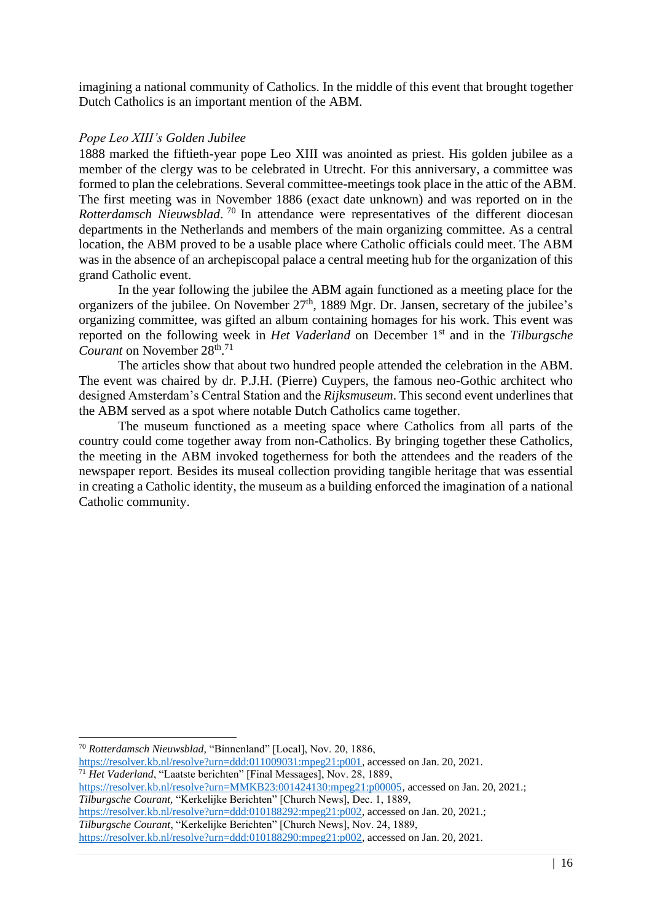imagining a national community of Catholics. In the middle of this event that brought together Dutch Catholics is an important mention of the ABM.

#### <span id="page-16-0"></span>*Pope Leo XIII's Golden Jubilee*

1888 marked the fiftieth-year pope Leo XIII was anointed as priest. His golden jubilee as a member of the clergy was to be celebrated in Utrecht. For this anniversary, a committee was formed to plan the celebrations. Several committee-meetings took place in the attic of the ABM. The first meeting was in November 1886 (exact date unknown) and was reported on in the *Rotterdamsch Nieuwsblad*. <sup>70</sup> In attendance were representatives of the different diocesan departments in the Netherlands and members of the main organizing committee. As a central location, the ABM proved to be a usable place where Catholic officials could meet. The ABM was in the absence of an archepiscopal palace a central meeting hub for the organization of this grand Catholic event.

In the year following the jubilee the ABM again functioned as a meeting place for the organizers of the jubilee. On November 27<sup>th</sup>, 1889 Mgr. Dr. Jansen, secretary of the jubilee's organizing committee, was gifted an album containing homages for his work. This event was reported on the following week in *Het Vaderland* on December 1st and in the *Tilburgsche*  Courant on November 28<sup>th</sup>.<sup>71</sup>

The articles show that about two hundred people attended the celebration in the ABM. The event was chaired by dr. P.J.H. (Pierre) Cuypers, the famous neo-Gothic architect who designed Amsterdam's Central Station and the *Rijksmuseum*. This second event underlines that the ABM served as a spot where notable Dutch Catholics came together.

The museum functioned as a meeting space where Catholics from all parts of the country could come together away from non-Catholics. By bringing together these Catholics, the meeting in the ABM invoked togetherness for both the attendees and the readers of the newspaper report. Besides its museal collection providing tangible heritage that was essential in creating a Catholic identity, the museum as a building enforced the imagination of a national Catholic community.

<sup>71</sup> *Het Vaderland*, "Laatste berichten" [Final Messages], Nov. 28, 1889,

[https://resolver.kb.nl/resolve?urn=MMKB23:001424130:mpeg21:p00005,](https://resolver.kb.nl/resolve?urn=MMKB23:001424130:mpeg21:p00005) accessed on Jan. 20, 2021.; *Tilburgsche Courant,* "Kerkelijke Berichten" [Church News], Dec. 1, 1889,

[https://resolver.kb.nl/resolve?urn=ddd:010188292:mpeg21:p002,](https://resolver.kb.nl/resolve?urn=ddd:010188292:mpeg21:p002) accessed on Jan. 20, 2021.;

*Tilburgsche Courant*, "Kerkelijke Berichten" [Church News], Nov. 24, 1889, [https://resolver.kb.nl/resolve?urn=ddd:010188290:mpeg21:p002,](https://resolver.kb.nl/resolve?urn=ddd:010188290:mpeg21:p002) accessed on Jan. 20, 2021.

<sup>70</sup> *Rotterdamsch Nieuwsblad,* "Binnenland" [Local], Nov. 20, 1886, [https://resolver.kb.nl/resolve?urn=ddd:011009031:mpeg21:p001,](https://resolver.kb.nl/resolve?urn=ddd:011009031:mpeg21:p001) accessed on Jan. 20, 2021.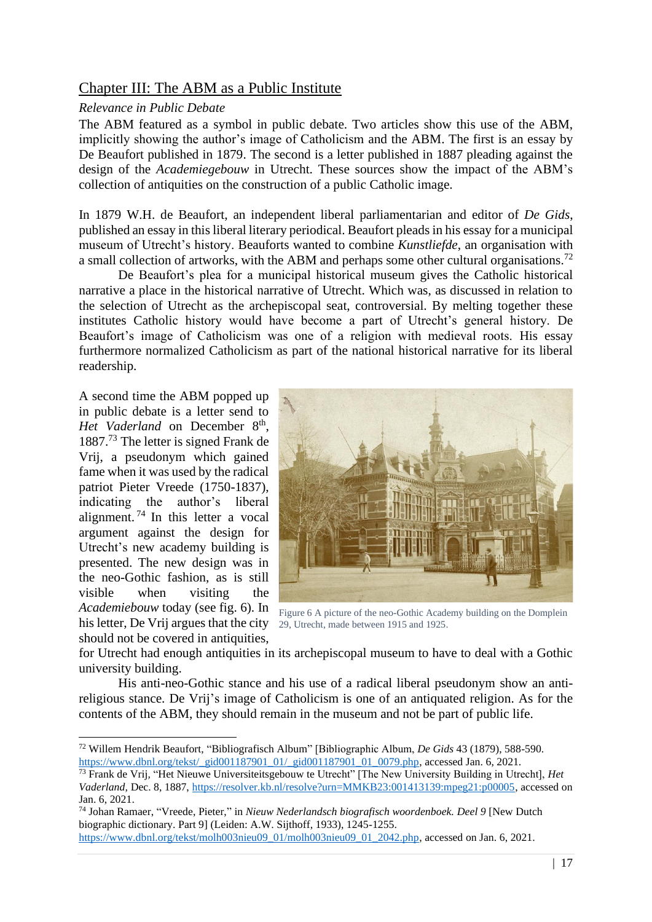# <span id="page-17-0"></span>Chapter III: The ABM as a Public Institute

## <span id="page-17-1"></span>*Relevance in Public Debate*

The ABM featured as a symbol in public debate. Two articles show this use of the ABM, implicitly showing the author's image of Catholicism and the ABM. The first is an essay by De Beaufort published in 1879. The second is a letter published in 1887 pleading against the design of the *Academiegebouw* in Utrecht. These sources show the impact of the ABM's collection of antiquities on the construction of a public Catholic image.

In 1879 W.H. de Beaufort, an independent liberal parliamentarian and editor of *De Gids*, published an essay in this liberal literary periodical. Beaufort pleads in his essay for a municipal museum of Utrecht's history. Beauforts wanted to combine *Kunstliefde*, an organisation with a small collection of artworks, with the ABM and perhaps some other cultural organisations.<sup>72</sup>

De Beaufort's plea for a municipal historical museum gives the Catholic historical narrative a place in the historical narrative of Utrecht. Which was, as discussed in relation to the selection of Utrecht as the archepiscopal seat, controversial. By melting together these institutes Catholic history would have become a part of Utrecht's general history. De Beaufort's image of Catholicism was one of a religion with medieval roots. His essay furthermore normalized Catholicism as part of the national historical narrative for its liberal readership.

A second time the ABM popped up in public debate is a letter send to Het Vaderland on December 8<sup>th</sup>, 1887.<sup>73</sup> The letter is signed Frank de Vrij, a pseudonym which gained fame when it was used by the radical patriot Pieter Vreede (1750-1837), indicating the author's liberal alignment. <sup>74</sup> In this letter a vocal argument against the design for Utrecht's new academy building is presented. The new design was in the neo-Gothic fashion, as is still visible when visiting the *Academiebouw* today (see fig. 6). In his letter, De Vrij argues that the city 29, Utrecht, made between 1915 and 1925. should not be covered in antiquities,



Figure 6 A picture of the neo-Gothic Academy building on the Domplein

for Utrecht had enough antiquities in its archepiscopal museum to have to deal with a Gothic university building.

His anti-neo-Gothic stance and his use of a radical liberal pseudonym show an antireligious stance. De Vrij's image of Catholicism is one of an antiquated religion. As for the contents of the ABM, they should remain in the museum and not be part of public life.

<sup>72</sup> Willem Hendrik Beaufort, "Bibliografisch Album" [Bibliographic Album, *De Gids* 43 (1879), 588-590. [https://www.dbnl.org/tekst/\\_gid001187901\\_01/\\_gid001187901\\_01\\_0079.php,](https://www.dbnl.org/tekst/_gid001187901_01/_gid001187901_01_0079.php) accessed Jan. 6, 2021.

<sup>73</sup> Frank de Vrij*,* "Het Nieuwe Universiteitsgebouw te Utrecht" [The New University Building in Utrecht], *Het Vaderland,* Dec. 8, 1887, [https://resolver.kb.nl/resolve?urn=MMKB23:001413139:mpeg21:p00005,](https://resolver.kb.nl/resolve?urn=MMKB23:001413139:mpeg21:p00005) accessed on Jan. 6, 2021.

<sup>74</sup> Johan Ramaer, "Vreede, Pieter," in *Nieuw Nederlandsch biografisch woordenboek. Deel 9* [New Dutch biographic dictionary. Part 9] (Leiden: A.W. Sijthoff, 1933), 1245-1255.

[https://www.dbnl.org/tekst/molh003nieu09\\_01/molh003nieu09\\_01\\_2042.php,](https://www.dbnl.org/tekst/molh003nieu09_01/molh003nieu09_01_2042.php) accessed on Jan. 6, 2021.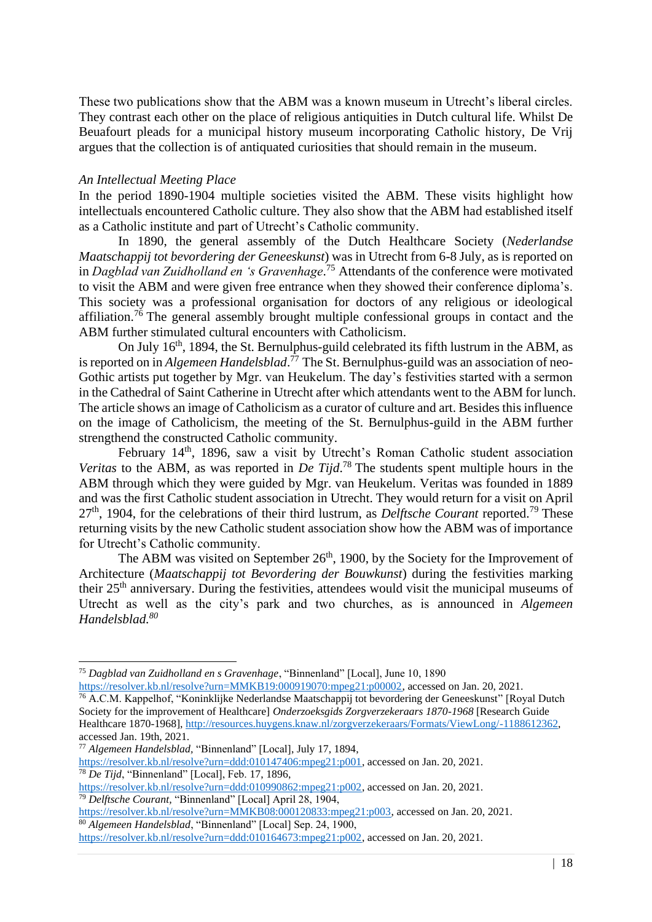These two publications show that the ABM was a known museum in Utrecht's liberal circles. They contrast each other on the place of religious antiquities in Dutch cultural life. Whilst De Beuafourt pleads for a municipal history museum incorporating Catholic history, De Vrij argues that the collection is of antiquated curiosities that should remain in the museum.

### <span id="page-18-0"></span>*An Intellectual Meeting Place*

In the period 1890-1904 multiple societies visited the ABM. These visits highlight how intellectuals encountered Catholic culture. They also show that the ABM had established itself as a Catholic institute and part of Utrecht's Catholic community.

In 1890, the general assembly of the Dutch Healthcare Society (*Nederlandse Maatschappij tot bevordering der Geneeskunst*) was in Utrecht from 6-8 July, as is reported on in *Dagblad van Zuidholland en 's Gravenhage*. <sup>75</sup> Attendants of the conference were motivated to visit the ABM and were given free entrance when they showed their conference diploma's. This society was a professional organisation for doctors of any religious or ideological affiliation.<sup>76</sup> The general assembly brought multiple confessional groups in contact and the ABM further stimulated cultural encounters with Catholicism.

On July 16<sup>th</sup>, 1894, the St. Bernulphus-guild celebrated its fifth lustrum in the ABM, as is reported on in *Algemeen Handelsblad*. <sup>77</sup> The St. Bernulphus-guild was an association of neo-Gothic artists put together by Mgr. van Heukelum. The day's festivities started with a sermon in the Cathedral of Saint Catherine in Utrecht after which attendants went to the ABM for lunch. The article shows an image of Catholicism as a curator of culture and art. Besides this influence on the image of Catholicism, the meeting of the St. Bernulphus-guild in the ABM further strengthend the constructed Catholic community.

February 14<sup>th</sup>, 1896, saw a visit by Utrecht's Roman Catholic student association *Veritas* to the ABM, as was reported in *De Tijd*. <sup>78</sup> The students spent multiple hours in the ABM through which they were guided by Mgr. van Heukelum. Veritas was founded in 1889 and was the first Catholic student association in Utrecht. They would return for a visit on April 27<sup>th</sup>, 1904, for the celebrations of their third lustrum, as *Delftsche Courant* reported.<sup>79</sup> These returning visits by the new Catholic student association show how the ABM was of importance for Utrecht's Catholic community.

The ABM was visited on September  $26<sup>th</sup>$ , 1900, by the Society for the Improvement of Architecture (*Maatschappij tot Bevordering der Bouwkunst*) during the festivities marking their 25th anniversary. During the festivities, attendees would visit the municipal museums of Utrecht as well as the city's park and two churches, as is announced in *Algemeen Handelsblad.<sup>80</sup>*

<sup>75</sup> *Dagblad van Zuidholland en s Gravenhage*, "Binnenland" [Local], June 10, 1890

[https://resolver.kb.nl/resolve?urn=MMKB19:000919070:mpeg21:p00002,](https://resolver.kb.nl/resolve?urn=MMKB19:000919070:mpeg21:p00002) accessed on Jan. 20, 2021.

<sup>76</sup> A.C.M. Kappelhof, "Koninklijke Nederlandse Maatschappij tot bevordering der Geneeskunst" [Royal Dutch Society for the improvement of Healthcare] *Onderzoeksgids Zorgverzekeraars 1870-1968* [Research Guide Healthcare 1870-1968][, http://resources.huygens.knaw.nl/zorgverzekeraars/Formats/ViewLong/-1188612362,](http://resources.huygens.knaw.nl/zorgverzekeraars/Formats/ViewLong/-1188612362) accessed Jan. 19th, 2021.

<sup>77</sup> *Algemeen Handelsblad,* "Binnenland" [Local], July 17, 1894, [https://resolver.kb.nl/resolve?urn=ddd:010147406:mpeg21:p001,](https://resolver.kb.nl/resolve?urn=ddd:010147406:mpeg21:p001) accessed on Jan. 20, 2021. <sup>78</sup> *De Tijd*, "Binnenland" [Local], Feb. 17, 1896,

[https://resolver.kb.nl/resolve?urn=ddd:010990862:mpeg21:p002,](https://resolver.kb.nl/resolve?urn=ddd:010990862:mpeg21:p002) accessed on Jan. 20, 2021. <sup>79</sup> *Delftsche Courant,* "Binnenland" [Local] April 28, 1904,

[https://resolver.kb.nl/resolve?urn=MMKB08:000120833:mpeg21:p003,](https://resolver.kb.nl/resolve?urn=MMKB08:000120833:mpeg21:p003) accessed on Jan. 20, 2021.

<sup>80</sup> *Algemeen Handelsblad*, "Binnenland" [Local] Sep. 24, 1900,

[https://resolver.kb.nl/resolve?urn=ddd:010164673:mpeg21:p002,](https://resolver.kb.nl/resolve?urn=ddd:010164673:mpeg21:p002) accessed on Jan. 20, 2021.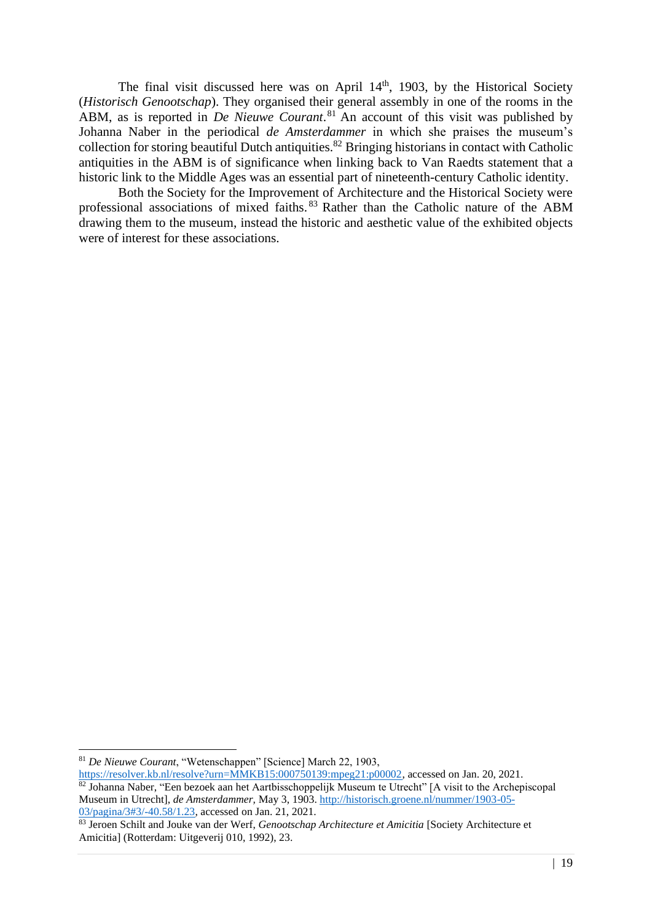The final visit discussed here was on April 14<sup>th</sup>, 1903, by the Historical Society (*Historisch Genootschap*). They organised their general assembly in one of the rooms in the ABM, as is reported in *De Nieuwe Courant*.<sup>81</sup> An account of this visit was published by Johanna Naber in the periodical *de Amsterdammer* in which she praises the museum's collection for storing beautiful Dutch antiquities. <sup>82</sup> Bringing historians in contact with Catholic antiquities in the ABM is of significance when linking back to Van Raedts statement that a historic link to the Middle Ages was an essential part of nineteenth-century Catholic identity.

Both the Society for the Improvement of Architecture and the Historical Society were professional associations of mixed faiths. <sup>83</sup> Rather than the Catholic nature of the ABM drawing them to the museum, instead the historic and aesthetic value of the exhibited objects were of interest for these associations.

<sup>81</sup> *De Nieuwe Courant*, "Wetenschappen" [Science] March 22, 1903,

[https://resolver.kb.nl/resolve?urn=MMKB15:000750139:mpeg21:p00002,](https://resolver.kb.nl/resolve?urn=MMKB15:000750139:mpeg21:p00002) accessed on Jan. 20, 2021.

<sup>&</sup>lt;sup>82</sup> Johanna Naber, "Een bezoek aan het Aartbisschoppelijk Museum te Utrecht" [A visit to the Archepiscopal Museum in Utrecht], *de Amsterdammer,* May 3, 1903. [http://historisch.groene.nl/nummer/1903-05-](http://historisch.groene.nl/nummer/1903-05-03/pagina/3#3/-40.58/1.23) [03/pagina/3#3/-40.58/1.23,](http://historisch.groene.nl/nummer/1903-05-03/pagina/3#3/-40.58/1.23) accessed on Jan. 21, 2021.

<sup>83</sup> Jeroen Schilt and Jouke van der Werf, *Genootschap Architecture et Amicitia* [Society Architecture et Amicitia] (Rotterdam: Uitgeverij 010, 1992), 23.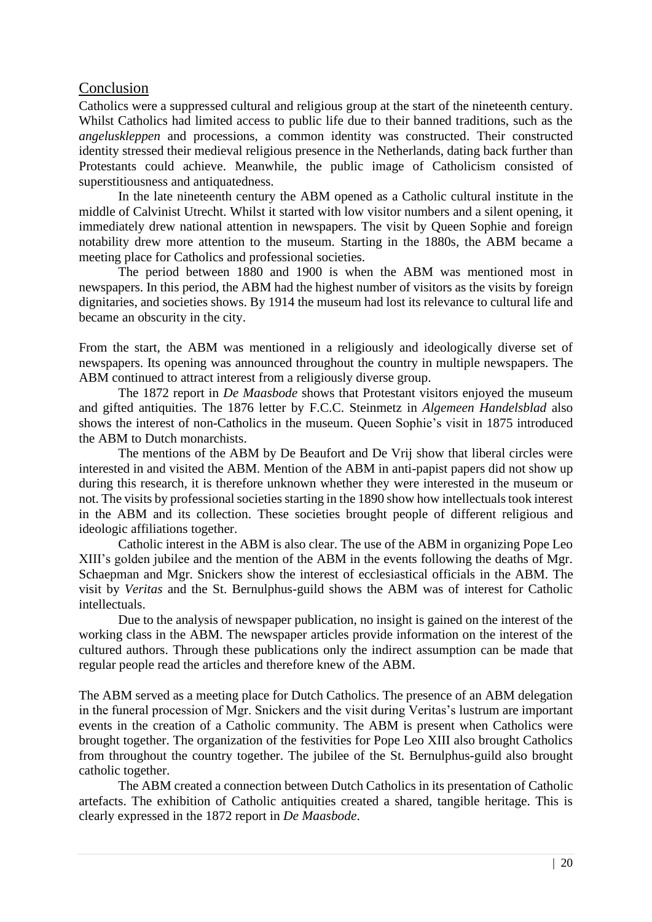## <span id="page-20-0"></span>Conclusion

Catholics were a suppressed cultural and religious group at the start of the nineteenth century. Whilst Catholics had limited access to public life due to their banned traditions, such as the *angeluskleppen* and processions, a common identity was constructed. Their constructed identity stressed their medieval religious presence in the Netherlands, dating back further than Protestants could achieve. Meanwhile, the public image of Catholicism consisted of superstitiousness and antiquatedness.

In the late nineteenth century the ABM opened as a Catholic cultural institute in the middle of Calvinist Utrecht. Whilst it started with low visitor numbers and a silent opening, it immediately drew national attention in newspapers. The visit by Queen Sophie and foreign notability drew more attention to the museum. Starting in the 1880s, the ABM became a meeting place for Catholics and professional societies.

The period between 1880 and 1900 is when the ABM was mentioned most in newspapers. In this period, the ABM had the highest number of visitors as the visits by foreign dignitaries, and societies shows. By 1914 the museum had lost its relevance to cultural life and became an obscurity in the city.

From the start, the ABM was mentioned in a religiously and ideologically diverse set of newspapers. Its opening was announced throughout the country in multiple newspapers. The ABM continued to attract interest from a religiously diverse group.

The 1872 report in *De Maasbode* shows that Protestant visitors enjoyed the museum and gifted antiquities. The 1876 letter by F.C.C. Steinmetz in *Algemeen Handelsblad* also shows the interest of non-Catholics in the museum. Queen Sophie's visit in 1875 introduced the ABM to Dutch monarchists.

The mentions of the ABM by De Beaufort and De Vrij show that liberal circles were interested in and visited the ABM. Mention of the ABM in anti-papist papers did not show up during this research, it is therefore unknown whether they were interested in the museum or not. The visits by professional societies starting in the 1890 show how intellectuals took interest in the ABM and its collection. These societies brought people of different religious and ideologic affiliations together.

Catholic interest in the ABM is also clear. The use of the ABM in organizing Pope Leo XIII's golden jubilee and the mention of the ABM in the events following the deaths of Mgr. Schaepman and Mgr. Snickers show the interest of ecclesiastical officials in the ABM. The visit by *Veritas* and the St. Bernulphus-guild shows the ABM was of interest for Catholic intellectuals.

Due to the analysis of newspaper publication, no insight is gained on the interest of the working class in the ABM. The newspaper articles provide information on the interest of the cultured authors. Through these publications only the indirect assumption can be made that regular people read the articles and therefore knew of the ABM.

The ABM served as a meeting place for Dutch Catholics. The presence of an ABM delegation in the funeral procession of Mgr. Snickers and the visit during Veritas's lustrum are important events in the creation of a Catholic community. The ABM is present when Catholics were brought together. The organization of the festivities for Pope Leo XIII also brought Catholics from throughout the country together. The jubilee of the St. Bernulphus-guild also brought catholic together.

The ABM created a connection between Dutch Catholics in its presentation of Catholic artefacts. The exhibition of Catholic antiquities created a shared, tangible heritage. This is clearly expressed in the 1872 report in *De Maasbode*.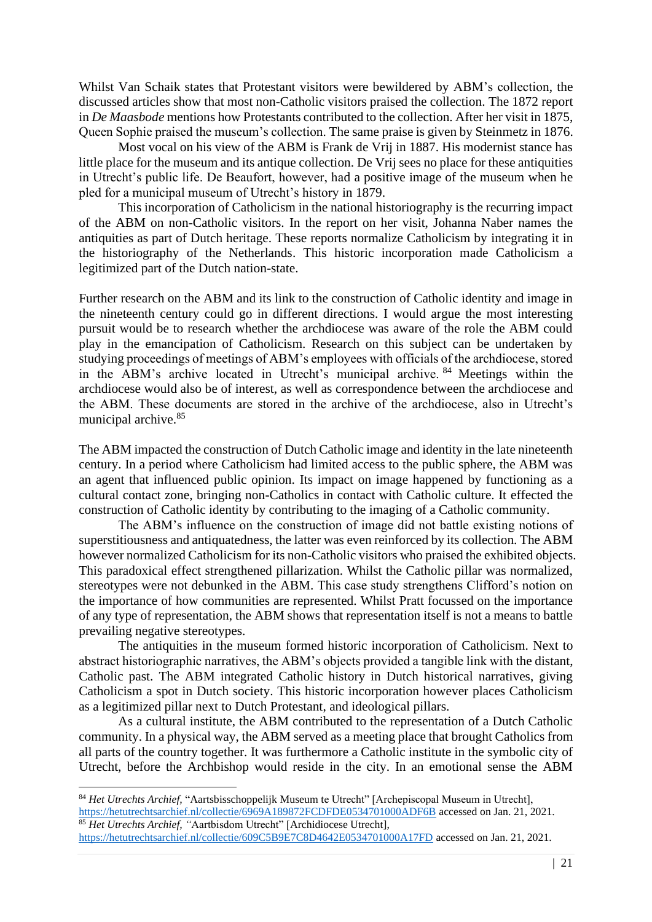Whilst Van Schaik states that Protestant visitors were bewildered by ABM's collection, the discussed articles show that most non-Catholic visitors praised the collection. The 1872 report in *De Maasbode* mentions how Protestants contributed to the collection. After her visit in 1875, Queen Sophie praised the museum's collection. The same praise is given by Steinmetz in 1876.

Most vocal on his view of the ABM is Frank de Vrij in 1887. His modernist stance has little place for the museum and its antique collection. De Vrij sees no place for these antiquities in Utrecht's public life. De Beaufort, however, had a positive image of the museum when he pled for a municipal museum of Utrecht's history in 1879.

This incorporation of Catholicism in the national historiography is the recurring impact of the ABM on non-Catholic visitors. In the report on her visit, Johanna Naber names the antiquities as part of Dutch heritage. These reports normalize Catholicism by integrating it in the historiography of the Netherlands. This historic incorporation made Catholicism a legitimized part of the Dutch nation-state.

Further research on the ABM and its link to the construction of Catholic identity and image in the nineteenth century could go in different directions. I would argue the most interesting pursuit would be to research whether the archdiocese was aware of the role the ABM could play in the emancipation of Catholicism. Research on this subject can be undertaken by studying proceedings of meetings of ABM's employees with officials of the archdiocese, stored in the ABM's archive located in Utrecht's municipal archive. <sup>84</sup> Meetings within the archdiocese would also be of interest, as well as correspondence between the archdiocese and the ABM. These documents are stored in the archive of the archdiocese, also in Utrecht's municipal archive.<sup>85</sup>

The ABM impacted the construction of Dutch Catholic image and identity in the late nineteenth century. In a period where Catholicism had limited access to the public sphere, the ABM was an agent that influenced public opinion. Its impact on image happened by functioning as a cultural contact zone, bringing non-Catholics in contact with Catholic culture. It effected the construction of Catholic identity by contributing to the imaging of a Catholic community.

The ABM's influence on the construction of image did not battle existing notions of superstitiousness and antiquatedness, the latter was even reinforced by its collection. The ABM however normalized Catholicism for its non-Catholic visitors who praised the exhibited objects. This paradoxical effect strengthened pillarization. Whilst the Catholic pillar was normalized, stereotypes were not debunked in the ABM. This case study strengthens Clifford's notion on the importance of how communities are represented. Whilst Pratt focussed on the importance of any type of representation, the ABM shows that representation itself is not a means to battle prevailing negative stereotypes.

The antiquities in the museum formed historic incorporation of Catholicism. Next to abstract historiographic narratives, the ABM's objects provided a tangible link with the distant, Catholic past. The ABM integrated Catholic history in Dutch historical narratives, giving Catholicism a spot in Dutch society. This historic incorporation however places Catholicism as a legitimized pillar next to Dutch Protestant, and ideological pillars.

As a cultural institute, the ABM contributed to the representation of a Dutch Catholic community. In a physical way, the ABM served as a meeting place that brought Catholics from all parts of the country together. It was furthermore a Catholic institute in the symbolic city of Utrecht, before the Archbishop would reside in the city. In an emotional sense the ABM

<sup>84</sup> *Het Utrechts Archief,* "Aartsbisschoppelijk Museum te Utrecht" [Archepiscopal Museum in Utrecht], <https://hetutrechtsarchief.nl/collectie/6969A189872FCDFDE0534701000ADF6B> accessed on Jan. 21, 2021. <sup>85</sup> Het Utrechts Archief, "Aartbisdom Utrecht" [Archidiocese Utrecht],

<https://hetutrechtsarchief.nl/collectie/609C5B9E7C8D4642E0534701000A17FD> accessed on Jan. 21, 2021.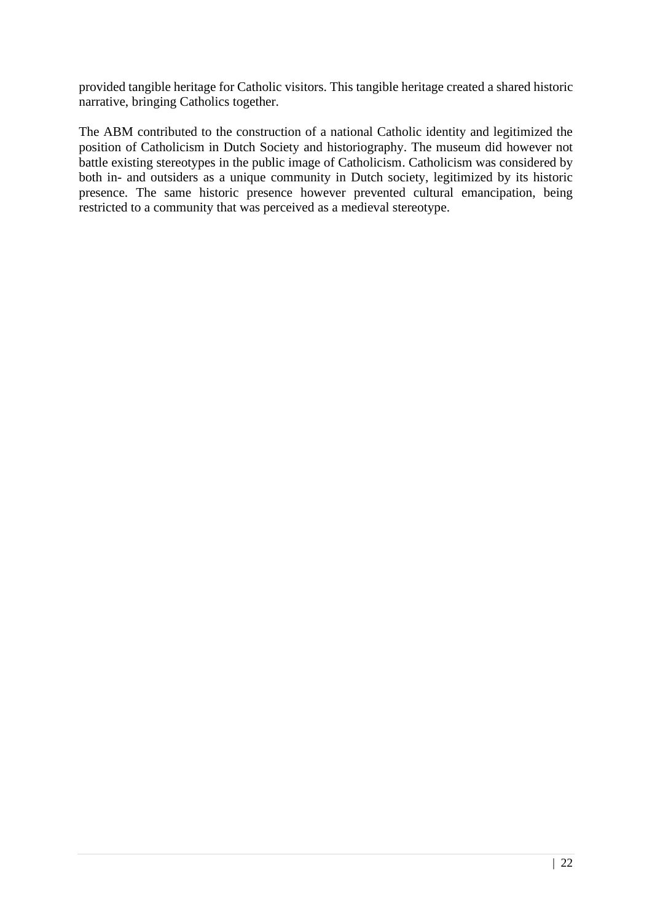provided tangible heritage for Catholic visitors. This tangible heritage created a shared historic narrative, bringing Catholics together.

The ABM contributed to the construction of a national Catholic identity and legitimized the position of Catholicism in Dutch Society and historiography. The museum did however not battle existing stereotypes in the public image of Catholicism. Catholicism was considered by both in- and outsiders as a unique community in Dutch society, legitimized by its historic presence. The same historic presence however prevented cultural emancipation, being restricted to a community that was perceived as a medieval stereotype.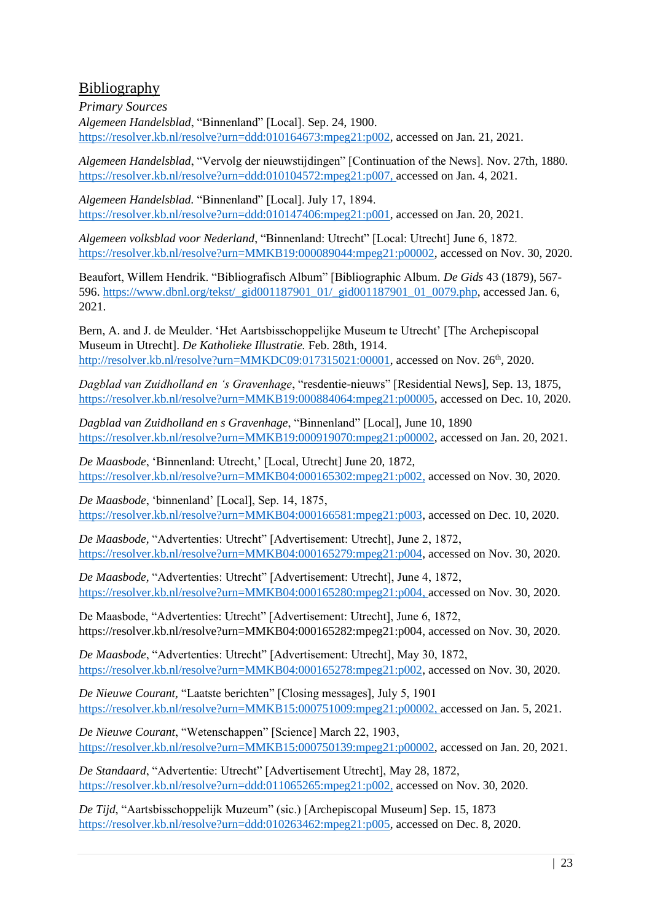# <span id="page-23-0"></span>Bibliography

<span id="page-23-1"></span>*Primary Sources Algemeen Handelsblad*, "Binnenland" [Local]. Sep. 24, 1900. [https://resolver.kb.nl/resolve?urn=ddd:010164673:mpeg21:p002,](https://resolver.kb.nl/resolve?urn=ddd:010164673:mpeg21:p002) accessed on Jan. 21, 2021.

*Algemeen Handelsblad*, "Vervolg der nieuwstijdingen" [Continuation of the News]. Nov. 27th, 1880. [https://resolver.kb.nl/resolve?urn=ddd:010104572:mpeg21:p007,](https://resolver.kb.nl/resolve?urn=ddd:010104572:mpeg21:p007) accessed on Jan. 4, 2021.

*Algemeen Handelsblad.* "Binnenland" [Local]. July 17, 1894. [https://resolver.kb.nl/resolve?urn=ddd:010147406:mpeg21:p001,](https://resolver.kb.nl/resolve?urn=ddd:010147406:mpeg21:p001) accessed on Jan. 20, 2021.

*Algemeen volksblad voor Nederland*, "Binnenland: Utrecht" [Local: Utrecht] June 6, 1872. [https://resolver.kb.nl/resolve?urn=MMKB19:000089044:mpeg21:p00002,](https://resolver.kb.nl/resolve?urn=MMKB19:000089044:mpeg21:p00002) accessed on Nov. 30, 2020.

Beaufort, Willem Hendrik. "Bibliografisch Album" [Bibliographic Album. *De Gids* 43 (1879), 567- 596. [https://www.dbnl.org/tekst/\\_gid001187901\\_01/\\_gid001187901\\_01\\_0079.php,](https://www.dbnl.org/tekst/_gid001187901_01/_gid001187901_01_0079.php) accessed Jan. 6, 2021.

Bern, A. and J. de Meulder. 'Het Aartsbisschoppelijke Museum te Utrecht' [The Archepiscopal Museum in Utrecht]. *De Katholieke Illustratie.* Feb. 28th, 1914. [http://resolver.kb.nl/resolve?urn=MMKDC09:017315021:00001,](http://resolver.kb.nl/resolve?urn=MMKDC09:017315021:00001) accessed on Nov. 26<sup>th</sup>, 2020.

*Dagblad van Zuidholland en 's Gravenhage*, "resdentie-nieuws" [Residential News], Sep. 13, 1875, [https://resolver.kb.nl/resolve?urn=MMKB19:000884064:mpeg21:p00005,](https://resolver.kb.nl/resolve?urn=MMKB19:000884064:mpeg21:p00005) accessed on Dec. 10, 2020.

*Dagblad van Zuidholland en s Gravenhage*, "Binnenland" [Local], June 10, 1890 [https://resolver.kb.nl/resolve?urn=MMKB19:000919070:mpeg21:p00002,](https://resolver.kb.nl/resolve?urn=MMKB19:000919070:mpeg21:p00002) accessed on Jan. 20, 2021.

*De Maasbode*, 'Binnenland: Utrecht,' [Local, Utrecht] June 20, 1872, [https://resolver.kb.nl/resolve?urn=MMKB04:000165302:mpeg21:p002,](https://resolver.kb.nl/resolve?urn=MMKB04:000165302:mpeg21:p002) accessed on Nov. 30, 2020.

*De Maasbode*, 'binnenland' [Local], Sep. 14, 1875, [https://resolver.kb.nl/resolve?urn=MMKB04:000166581:mpeg21:p003,](https://resolver.kb.nl/resolve?urn=MMKB04:000166581:mpeg21:p003) accessed on Dec. 10, 2020.

*De Maasbode,* "Advertenties: Utrecht" [Advertisement: Utrecht], June 2, 1872, [https://resolver.kb.nl/resolve?urn=MMKB04:000165279:mpeg21:p004,](https://resolver.kb.nl/resolve?urn=MMKB04:000165279:mpeg21:p004) accessed on Nov. 30, 2020.

*De Maasbode,* "Advertenties: Utrecht" [Advertisement: Utrecht], June 4, 1872, [https://resolver.kb.nl/resolve?urn=MMKB04:000165280:mpeg21:p004,](https://resolver.kb.nl/resolve?urn=MMKB04:000165280:mpeg21:p004) accessed on Nov. 30, 2020.

De Maasbode, "Advertenties: Utrecht" [Advertisement: Utrecht], June 6, 1872, [https://resolver.kb.nl/resolve?urn=MMKB04:000165282:mpeg21:p004,](https://resolver.kb.nl/resolve?urn=MMKB04:000165282:mpeg21:p004) accessed on Nov. 30, 2020.

*De Maasbode*, "Advertenties: Utrecht" [Advertisement: Utrecht], May 30, 1872, [https://resolver.kb.nl/resolve?urn=MMKB04:000165278:mpeg21:p002,](https://resolver.kb.nl/resolve?urn=MMKB04:000165278:mpeg21:p002) accessed on Nov. 30, 2020.

*De Nieuwe Courant,* "Laatste berichten" [Closing messages], July 5, 1901 [https://resolver.kb.nl/resolve?urn=MMKB15:000751009:mpeg21:p00002,](https://resolver.kb.nl/resolve?urn=MMKB15:000751009:mpeg21:p00002) accessed on Jan. 5, 2021.

*De Nieuwe Courant*, "Wetenschappen" [Science] March 22, 1903, [https://resolver.kb.nl/resolve?urn=MMKB15:000750139:mpeg21:p00002,](https://resolver.kb.nl/resolve?urn=MMKB15:000750139:mpeg21:p00002) accessed on Jan. 20, 2021.

*De Standaard*, "Advertentie: Utrecht" [Advertisement Utrecht], May 28, 1872, [https://resolver.kb.nl/resolve?urn=ddd:011065265:mpeg21:p002,](https://resolver.kb.nl/resolve?urn=ddd:011065265:mpeg21:p002) accessed on Nov. 30, 2020.

*De Tijd*, "Aartsbisschoppelijk Muzeum" (sic.) [Archepiscopal Museum] Sep. 15, 1873 [https://resolver.kb.nl/resolve?urn=ddd:010263462:mpeg21:p005,](https://resolver.kb.nl/resolve?urn=ddd:010263462:mpeg21:p005) accessed on Dec. 8, 2020.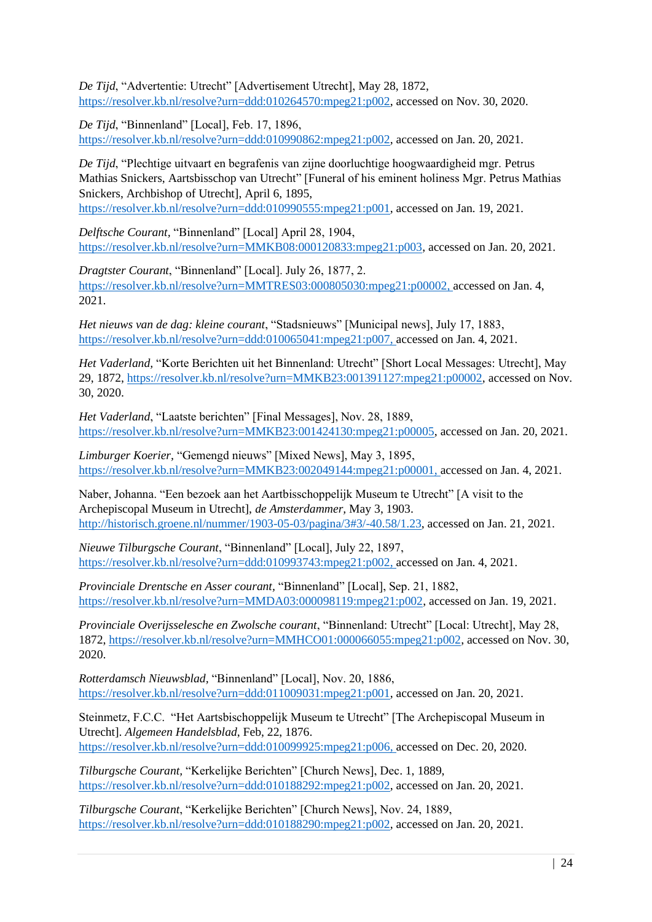*De Tijd*, "Advertentie: Utrecht" [Advertisement Utrecht], May 28, 1872, [https://resolver.kb.nl/resolve?urn=ddd:010264570:mpeg21:p002,](https://resolver.kb.nl/resolve?urn=ddd:010264570:mpeg21:p002) accessed on Nov. 30, 2020.

*De Tijd*, "Binnenland" [Local], Feb. 17, 1896, [https://resolver.kb.nl/resolve?urn=ddd:010990862:mpeg21:p002,](https://resolver.kb.nl/resolve?urn=ddd:010990862:mpeg21:p002) accessed on Jan. 20, 2021.

*De Tijd*, "Plechtige uitvaart en begrafenis van zijne doorluchtige hoogwaardigheid mgr. Petrus Mathias Snickers, Aartsbisschop van Utrecht" [Funeral of his eminent holiness Mgr. Petrus Mathias Snickers, Archbishop of Utrecht], April 6, 1895,

[https://resolver.kb.nl/resolve?urn=ddd:010990555:mpeg21:p001,](https://resolver.kb.nl/resolve?urn=ddd:010990555:mpeg21:p001) accessed on Jan. 19, 2021.

*Delftsche Courant,* "Binnenland" [Local] April 28, 1904, [https://resolver.kb.nl/resolve?urn=MMKB08:000120833:mpeg21:p003,](https://resolver.kb.nl/resolve?urn=MMKB08:000120833:mpeg21:p003) accessed on Jan. 20, 2021.

*Dragtster Courant*, "Binnenland" [Local]. July 26, 1877, 2. [https://resolver.kb.nl/resolve?urn=MMTRES03:000805030:mpeg21:p00002,](https://resolver.kb.nl/resolve?urn=MMTRES03:000805030:mpeg21:p00002) accessed on Jan. 4, 2021.

*Het nieuws van de dag: kleine courant*, "Stadsnieuws" [Municipal news], July 17, 1883, [https://resolver.kb.nl/resolve?urn=ddd:010065041:mpeg21:p007,](https://resolver.kb.nl/resolve?urn=ddd:010065041:mpeg21:p007) accessed on Jan. 4, 2021.

*Het Vaderland,* "Korte Berichten uit het Binnenland: Utrecht" [Short Local Messages: Utrecht], May 29, 1872, [https://resolver.kb.nl/resolve?urn=MMKB23:001391127:mpeg21:p00002,](https://resolver.kb.nl/resolve?urn=MMKB23:001391127:mpeg21:p00002) accessed on Nov. 30, 2020.

*Het Vaderland*, "Laatste berichten" [Final Messages], Nov. 28, 1889, [https://resolver.kb.nl/resolve?urn=MMKB23:001424130:mpeg21:p00005,](https://resolver.kb.nl/resolve?urn=MMKB23:001424130:mpeg21:p00005) accessed on Jan. 20, 2021.

*Limburger Koerier,* "Gemengd nieuws" [Mixed News], May 3, 1895, [https://resolver.kb.nl/resolve?urn=MMKB23:002049144:mpeg21:p00001,](https://resolver.kb.nl/resolve?urn=MMKB23:002049144:mpeg21:p00001) accessed on Jan. 4, 2021.

Naber, Johanna. "Een bezoek aan het Aartbisschoppelijk Museum te Utrecht" [A visit to the Archepiscopal Museum in Utrecht], *de Amsterdammer,* May 3, 1903. [http://historisch.groene.nl/nummer/1903-05-03/pagina/3#3/-40.58/1.23,](http://historisch.groene.nl/nummer/1903-05-03/pagina/3#3/-40.58/1.23) accessed on Jan. 21, 2021.

*Nieuwe Tilburgsche Courant*, "Binnenland" [Local], July 22, 1897, [https://resolver.kb.nl/resolve?urn=ddd:010993743:mpeg21:p002,](https://resolver.kb.nl/resolve?urn=ddd:010993743:mpeg21:p002) accessed on Jan. 4, 2021.

*Provinciale Drentsche en Asser courant,* "Binnenland" [Local], Sep. 21, 1882, [https://resolver.kb.nl/resolve?urn=MMDA03:000098119:mpeg21:p002,](https://resolver.kb.nl/resolve?urn=MMDA03:000098119:mpeg21:p002) accessed on Jan. 19, 2021.

*Provinciale Overijsselesche en Zwolsche courant*, "Binnenland: Utrecht" [Local: Utrecht], May 28, 1872, [https://resolver.kb.nl/resolve?urn=MMHCO01:000066055:mpeg21:p002,](https://resolver.kb.nl/resolve?urn=MMHCO01:000066055:mpeg21:p002) accessed on Nov. 30, 2020.

*Rotterdamsch Nieuwsblad,* "Binnenland" [Local], Nov. 20, 1886, [https://resolver.kb.nl/resolve?urn=ddd:011009031:mpeg21:p001,](https://resolver.kb.nl/resolve?urn=ddd:011009031:mpeg21:p001) accessed on Jan. 20, 2021.

Steinmetz, F.C.C. "Het Aartsbischoppelijk Museum te Utrecht" [The Archepiscopal Museum in Utrecht]. *Algemeen Handelsblad*, Feb, 22, 1876. [https://resolver.kb.nl/resolve?urn=ddd:010099925:mpeg21:p006,](https://resolver.kb.nl/resolve?urn=ddd:010099925:mpeg21:p006) accessed on Dec. 20, 2020.

*Tilburgsche Courant,* "Kerkelijke Berichten" [Church News], Dec. 1, 1889, [https://resolver.kb.nl/resolve?urn=ddd:010188292:mpeg21:p002,](https://resolver.kb.nl/resolve?urn=ddd:010188292:mpeg21:p002) accessed on Jan. 20, 2021.

*Tilburgsche Courant*, "Kerkelijke Berichten" [Church News], Nov. 24, 1889, [https://resolver.kb.nl/resolve?urn=ddd:010188290:mpeg21:p002,](https://resolver.kb.nl/resolve?urn=ddd:010188290:mpeg21:p002) accessed on Jan. 20, 2021.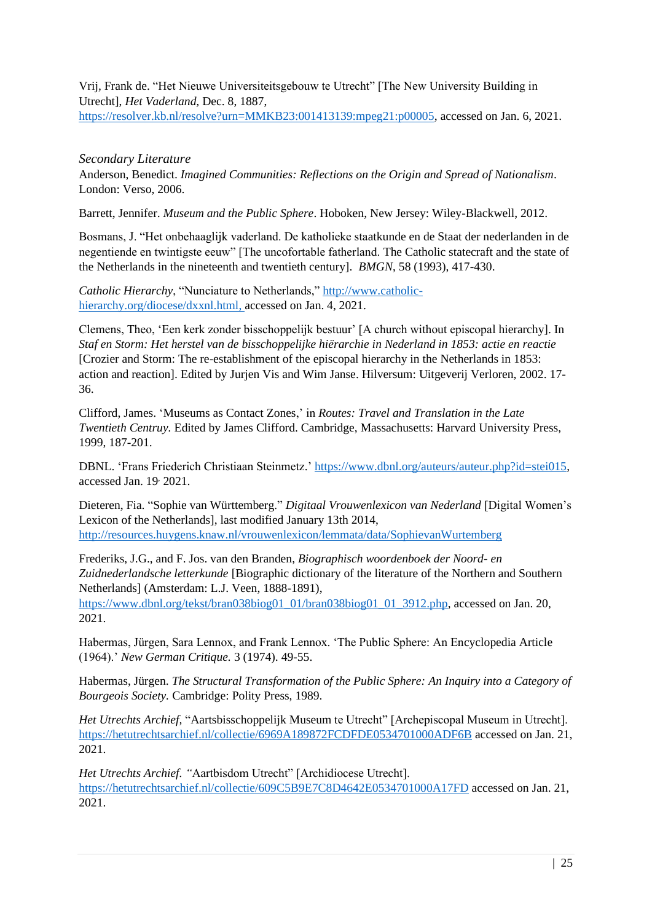Vrij*,* Frank de. "Het Nieuwe Universiteitsgebouw te Utrecht" [The New University Building in Utrecht], *Het Vaderland,* Dec. 8, 1887, [https://resolver.kb.nl/resolve?urn=MMKB23:001413139:mpeg21:p00005,](https://resolver.kb.nl/resolve?urn=MMKB23:001413139:mpeg21:p00005) accessed on Jan. 6, 2021.

## <span id="page-25-0"></span>*Secondary Literature*

Anderson, Benedict. *Imagined Communities: Reflections on the Origin and Spread of Nationalism*. London: Verso, 2006.

Barrett, Jennifer. *Museum and the Public Sphere*. Hoboken, New Jersey: Wiley-Blackwell, 2012.

Bosmans, J. "Het onbehaaglijk vaderland. De katholieke staatkunde en de Staat der nederlanden in de negentiende en twintigste eeuw" [The uncofortable fatherland. The Catholic statecraft and the state of the Netherlands in the nineteenth and twentieth century]. *BMGN*, 58 (1993), 417-430.

*Catholic Hierarchy*, "Nunciature to Netherlands,[" http://www.catholic](http://www.catholic-hierarchy.org/diocese/dxxnl.html)[hierarchy.org/diocese/dxxnl.html,](http://www.catholic-hierarchy.org/diocese/dxxnl.html) accessed on Jan. 4, 2021.

Clemens, Theo, 'Een kerk zonder bisschoppelijk bestuur' [A church without episcopal hierarchy]. In *Staf en Storm: Het herstel van de bisschoppelijke hiërarchie in Nederland in 1853: actie en reactie* [Crozier and Storm: The re-establishment of the episcopal hierarchy in the Netherlands in 1853: action and reaction]. Edited by Jurjen Vis and Wim Janse. Hilversum: Uitgeverij Verloren, 2002. 17- 36.

Clifford, James. 'Museums as Contact Zones,' in *Routes: Travel and Translation in the Late Twentieth Centruy.* Edited by James Clifford. Cambridge, Massachusetts: Harvard University Press, 1999, 187-201.

DBNL. 'Frans Friederich Christiaan Steinmetz.' [https://www.dbnl.org/auteurs/auteur.php?id=stei015,](https://www.dbnl.org/auteurs/auteur.php?id=stei015) accessed Jan. 19, 2021.

Dieteren, Fia. "Sophie van Württemberg." *Digitaal Vrouwenlexicon van Nederland* [Digital Women's Lexicon of the Netherlands], last modified January 13th 2014, <http://resources.huygens.knaw.nl/vrouwenlexicon/lemmata/data/SophievanWurtemberg>

Frederiks, J.G., and F. Jos. van den Branden, *Biographisch woordenboek der Noord- en Zuidnederlandsche letterkunde* [Biographic dictionary of the literature of the Northern and Southern Netherlands] (Amsterdam: L.J. Veen, 1888-1891),

[https://www.dbnl.org/tekst/bran038biog01\\_01/bran038biog01\\_01\\_3912.php,](https://www.dbnl.org/tekst/bran038biog01_01/bran038biog01_01_3912.php) accessed on Jan. 20, 2021.

Habermas, Jürgen, Sara Lennox, and Frank Lennox. 'The Public Sphere: An Encyclopedia Article (1964).' *New German Critique.* 3 (1974). 49-55.

Habermas, Jürgen. *The Structural Transformation of the Public Sphere: An Inquiry into a Category of Bourgeois Society.* Cambridge: Polity Press, 1989.

*Het Utrechts Archief,* "Aartsbisschoppelijk Museum te Utrecht" [Archepiscopal Museum in Utrecht]. <https://hetutrechtsarchief.nl/collectie/6969A189872FCDFDE0534701000ADF6B> accessed on Jan. 21, 2021.

*Het Utrechts Archief. "*Aartbisdom Utrecht" [Archidiocese Utrecht]. <https://hetutrechtsarchief.nl/collectie/609C5B9E7C8D4642E0534701000A17FD> accessed on Jan. 21, 2021.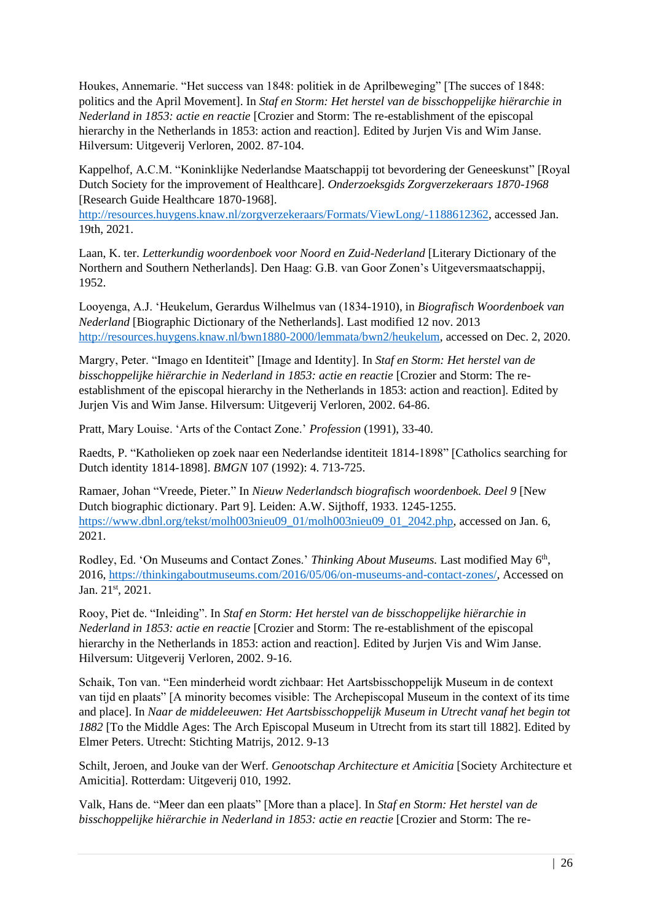Houkes, Annemarie. "Het success van 1848: politiek in de Aprilbeweging" [The succes of 1848: politics and the April Movement]. In *Staf en Storm: Het herstel van de bisschoppelijke hiërarchie in Nederland in 1853: actie en reactie* [Crozier and Storm: The re-establishment of the episcopal hierarchy in the Netherlands in 1853: action and reaction]. Edited by Jurjen Vis and Wim Janse. Hilversum: Uitgeverij Verloren, 2002. 87-104.

Kappelhof, A.C.M. "Koninklijke Nederlandse Maatschappij tot bevordering der Geneeskunst" [Royal Dutch Society for the improvement of Healthcare]. *Onderzoeksgids Zorgverzekeraars 1870-1968* [Research Guide Healthcare 1870-1968].

[http://resources.huygens.knaw.nl/zorgverzekeraars/Formats/ViewLong/-1188612362,](http://resources.huygens.knaw.nl/zorgverzekeraars/Formats/ViewLong/-1188612362) accessed Jan. 19th, 2021.

Laan, K. ter. *Letterkundig woordenboek voor Noord en Zuid*-*Nederland* [Literary Dictionary of the Northern and Southern Netherlands]. Den Haag: G.B. van Goor Zonen's Uitgeversmaatschappij, 1952.

Looyenga, A.J. 'Heukelum, Gerardus Wilhelmus van (1834-1910), in *Biografisch Woordenboek van Nederland* [Biographic Dictionary of the Netherlands]. Last modified 12 nov. 2013 [http://resources.huygens.knaw.nl/bwn1880-2000/lemmata/bwn2/heukelum,](http://resources.huygens.knaw.nl/bwn1880-2000/lemmata/bwn2/heukelum) accessed on Dec. 2, 2020.

Margry, Peter. "Imago en Identiteit" [Image and Identity]. In *Staf en Storm: Het herstel van de bisschoppelijke hiërarchie in Nederland in 1853: actie en reactie* [Crozier and Storm: The reestablishment of the episcopal hierarchy in the Netherlands in 1853: action and reaction]. Edited by Jurjen Vis and Wim Janse. Hilversum: Uitgeverij Verloren, 2002. 64-86.

Pratt, Mary Louise. 'Arts of the Contact Zone.' *Profession* (1991), 33-40.

Raedts, P. "Katholieken op zoek naar een Nederlandse identiteit 1814-1898" [Catholics searching for Dutch identity 1814-1898]. *BMGN* 107 (1992): 4. 713-725.

Ramaer, Johan "Vreede, Pieter." In *Nieuw Nederlandsch biografisch woordenboek. Deel 9* [New Dutch biographic dictionary. Part 9]*.* Leiden: A.W. Sijthoff, 1933. 1245-1255. [https://www.dbnl.org/tekst/molh003nieu09\\_01/molh003nieu09\\_01\\_2042.php,](https://www.dbnl.org/tekst/molh003nieu09_01/molh003nieu09_01_2042.php) accessed on Jan. 6, 2021.

Rodley, Ed. 'On Museums and Contact Zones.' Thinking About Museums. Last modified May 6<sup>th</sup>, 2016, [https://thinkingaboutmuseums.com/2016/05/06/on-museums-and-contact-zones/,](https://thinkingaboutmuseums.com/2016/05/06/on-museums-and-contact-zones/) Accessed on Jan. 21st, 2021.

Rooy, Piet de. "Inleiding". In *Staf en Storm: Het herstel van de bisschoppelijke hiërarchie in Nederland in 1853: actie en reactie* [Crozier and Storm: The re-establishment of the episcopal hierarchy in the Netherlands in 1853: action and reaction]. Edited by Jurjen Vis and Wim Janse. Hilversum: Uitgeverij Verloren, 2002. 9-16.

Schaik, Ton van. "Een minderheid wordt zichbaar: Het Aartsbisschoppelijk Museum in de context van tijd en plaats" [A minority becomes visible: The Archepiscopal Museum in the context of its time and place]. In *Naar de middeleeuwen: Het Aartsbisschoppelijk Museum in Utrecht vanaf het begin tot 1882* [To the Middle Ages: The Arch Episcopal Museum in Utrecht from its start till 1882]. Edited by Elmer Peters. Utrecht: Stichting Matrijs, 2012. 9-13

Schilt, Jeroen, and Jouke van der Werf. *Genootschap Architecture et Amicitia* [Society Architecture et Amicitia]. Rotterdam: Uitgeverij 010, 1992.

Valk, Hans de. "Meer dan een plaats" [More than a place]. In *Staf en Storm: Het herstel van de bisschoppelijke hiërarchie in Nederland in 1853: actie en reactie* [Crozier and Storm: The re